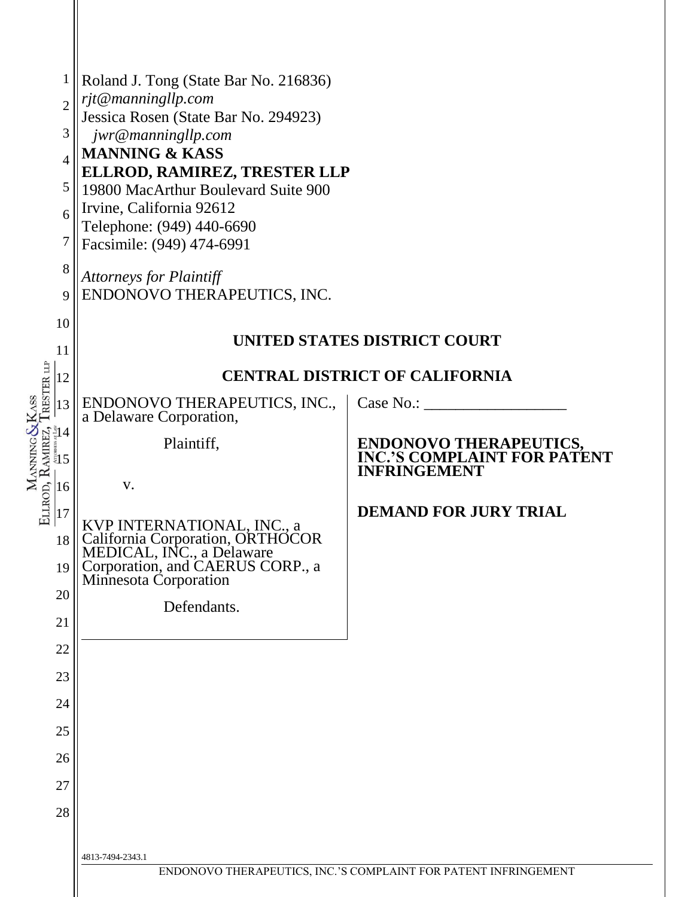| $\mathbf 1$<br>$\overline{2}$<br>3<br>$\overline{4}$<br>5<br>6<br>7<br>8<br>9<br>10<br>11                                                                                                                                                                                                                                                                                                                                                         | Roland J. Tong (State Bar No. 216836)<br>rjt@manningllp.com<br>Jessica Rosen (State Bar No. 294923)<br>jwr@manningllp.com<br><b>MANNING &amp; KASS</b><br>ELLROD, RAMIREZ, TRESTER LLP<br>19800 MacArthur Boulevard Suite 900<br>Irvine, California 92612<br>Telephone: (949) 440-6690<br>Facsimile: (949) 474-6991<br><b>Attorneys for Plaintiff</b><br>ENDONOVO THERAPEUTICS, INC. | UNITED STATES DISTRICT COURT                                                                                                     |  |  |  |
|---------------------------------------------------------------------------------------------------------------------------------------------------------------------------------------------------------------------------------------------------------------------------------------------------------------------------------------------------------------------------------------------------------------------------------------------------|--------------------------------------------------------------------------------------------------------------------------------------------------------------------------------------------------------------------------------------------------------------------------------------------------------------------------------------------------------------------------------------|----------------------------------------------------------------------------------------------------------------------------------|--|--|--|
| 12                                                                                                                                                                                                                                                                                                                                                                                                                                                | <b>CENTRAL DISTRICT OF CALIFORNIA</b>                                                                                                                                                                                                                                                                                                                                                |                                                                                                                                  |  |  |  |
| RESTER LLF<br>ASS<br>13<br>$\begin{array}{c}\n\text{MANNNIG}\&\text{MANNSIG}\&\text{MMSER1}\&\text{MMSER2}\&\text{MMSER1}\&\text{MMSER2}\&\text{MMSER1}\&\text{MMSER1}\&\text{MMSER2}\&\text{MMSER1}\&\text{MMSER2}\&\text{MMSER1}\&\text{MMSER2}\&\text{MMSER2}\&\text{MMSER2}\&\text{MMSER2}\&\text{MMSER2}\&\text{MMSER2}\&\text{MMSER2}\&\text{MMSER2}\&\text{MMSER2}\&\text{MMSER2}\&\text{MMSER2}\&\text{MMS$<br>18<br>19<br>20<br>21<br>22 | ENDONOVO THERAPEUTICS, INC.,<br>a Delaware Corporation,<br>Plaintiff,<br>V.<br>KVP INTERNATIONAL, INC., a<br>California Corporation, ORTHOCOR<br>MEDICAL, INC., a Delaware<br>Corporation, and CAERUS CORP., a<br>Minnesota Corporation<br>Defendants.                                                                                                                               | Case No.<br><b>ENDONOVO THERAPEUTICS,<br/>INC.'S COMPLAINT FOR PATENT</b><br><b>INFRINGEMENT</b><br><b>DEMAND FOR JURY TRIAL</b> |  |  |  |
| 23                                                                                                                                                                                                                                                                                                                                                                                                                                                |                                                                                                                                                                                                                                                                                                                                                                                      |                                                                                                                                  |  |  |  |
| 24                                                                                                                                                                                                                                                                                                                                                                                                                                                |                                                                                                                                                                                                                                                                                                                                                                                      |                                                                                                                                  |  |  |  |
| 25<br>26                                                                                                                                                                                                                                                                                                                                                                                                                                          |                                                                                                                                                                                                                                                                                                                                                                                      |                                                                                                                                  |  |  |  |
| 27                                                                                                                                                                                                                                                                                                                                                                                                                                                |                                                                                                                                                                                                                                                                                                                                                                                      |                                                                                                                                  |  |  |  |
| 28                                                                                                                                                                                                                                                                                                                                                                                                                                                |                                                                                                                                                                                                                                                                                                                                                                                      |                                                                                                                                  |  |  |  |
|                                                                                                                                                                                                                                                                                                                                                                                                                                                   | 4813-7494-2343.1                                                                                                                                                                                                                                                                                                                                                                     | ENDONOVO THERAPEUTICS, INC.'S COMPLAINT FOR PATENT INFRINGEMENT                                                                  |  |  |  |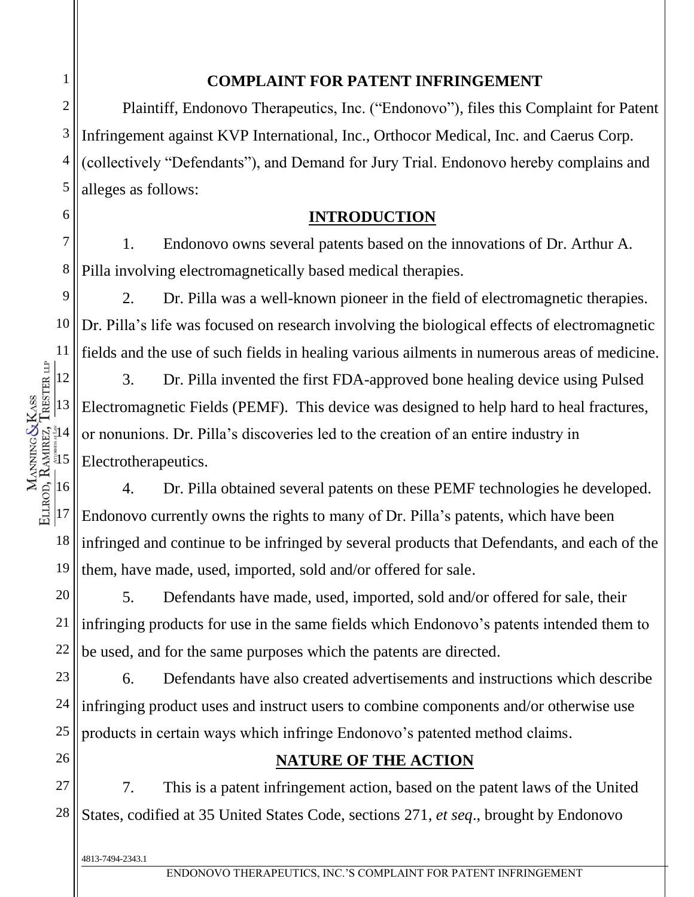Plaintiff, Endonovo Therapeutics, Inc. ("Endonovo"), files this Complaint for Patent Infringement against KVP International, Inc., Orthocor Medical, Inc. and Caerus Corp. (collectively "Defendants"), and Demand for Jury Trial. Endonovo hereby complains and alleges as follows:

**COMPLAINT FOR PATENT INFRINGEMENT**

# **INTRODUCTION**

7 8 1. Endonovo owns several patents based on the innovations of Dr. Arthur A. Pilla involving electromagnetically based medical therapies.

9 10 11 2. Dr. Pilla was a well-known pioneer in the field of electromagnetic therapies. Dr. Pilla's life was focused on research involving the biological effects of electromagnetic fields and the use of such fields in healing various ailments in numerous areas of medicine.

3. Dr. Pilla invented the first FDA-approved bone healing device using Pulsed Electromagnetic Fields (PEMF). This device was designed to help hard to heal fractures, or nonunions. Dr. Pilla's discoveries led to the creation of an entire industry in Electrotherapeutics.

16 17 18 19 4. Dr. Pilla obtained several patents on these PEMF technologies he developed. Endonovo currently owns the rights to many of Dr. Pilla's patents, which have been infringed and continue to be infringed by several products that Defendants, and each of the them, have made, used, imported, sold and/or offered for sale.

20 21 22 5. Defendants have made, used, imported, sold and/or offered for sale, their infringing products for use in the same fields which Endonovo's patents intended them to be used, and for the same purposes which the patents are directed.

23 24 25 6. Defendants have also created advertisements and instructions which describe infringing product uses and instruct users to combine components and/or otherwise use products in certain ways which infringe Endonovo's patented method claims.

# **NATURE OF THE ACTION**

27 28 7. This is a patent infringement action, based on the patent laws of the United States, codified at 35 United States Code, sections 271, *et seq*., brought by Endonovo

4813-7494-2343.1

1

2

3

4

5

6

12

13

 $|14$ 

15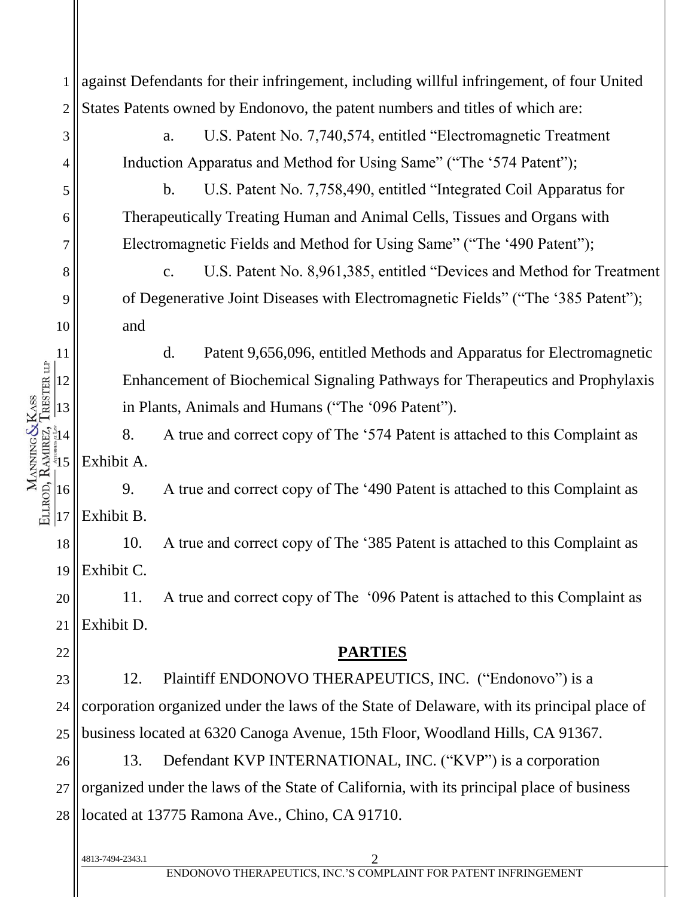against Defendants for their infringement, including willful infringement, of four United 1 States Patents owned by Endonovo, the patent numbers and titles of which are: 2 a. U.S. Patent No. 7,740,574, entitled "Electromagnetic Treatment 3 Induction Apparatus and Method for Using Same" ("The '574 Patent"); 4 b. U.S. Patent No. 7,758,490, entitled "Integrated Coil Apparatus for 5 Therapeutically Treating Human and Animal Cells, Tissues and Organs with 6 Electromagnetic Fields and Method for Using Same" ("The '490 Patent"); 7 c. U.S. Patent No. 8,961,385, entitled "Devices and Method for Treatment 8 of Degenerative Joint Diseases with Electromagnetic Fields" ("The '385 Patent"); 9 10 and d. Patent 9,656,096, entitled Methods and Apparatus for Electromagnetic 11 MANNING&KASS<br>ELLROD, RAMREZ, TRESTER LIP Enhancement of Biochemical Signaling Pathways for Therapeutics and Prophylaxis 12 in Plants, Animals and Humans ("The '096 Patent"). 13  $\frac{1}{3}$ 14 8. A true and correct copy of The '574 Patent is attached to this Complaint as Exhibit A.  $\frac{15}{2}$ 9. A true and correct copy of The '490 Patent is attached to this Complaint as 16  $|17$ Exhibit B. 10. A true and correct copy of The '385 Patent is attached to this Complaint as 18 Exhibit C. 19 11. A true and correct copy of The '096 Patent is attached to this Complaint as 20 Exhibit D. 21 **PARTIES** 22 12. Plaintiff ENDONOVO THERAPEUTICS, INC. ("Endonovo") is a 23 corporation organized under the laws of the State of Delaware, with its principal place of 24 business located at 6320 Canoga Avenue, 15th Floor, Woodland Hills, CA 91367. 25 13. Defendant KVP INTERNATIONAL, INC. ("KVP") is a corporation 26 organized under the laws of the State of California, with its principal place of business 27 28 located at 13775 Ramona Ave., Chino, CA 91710.4813-7494-2343.1 2 ENDONOVO THERAPEUTICS, INC.'S COMPLAINT FOR PATENT INFRINGEMENT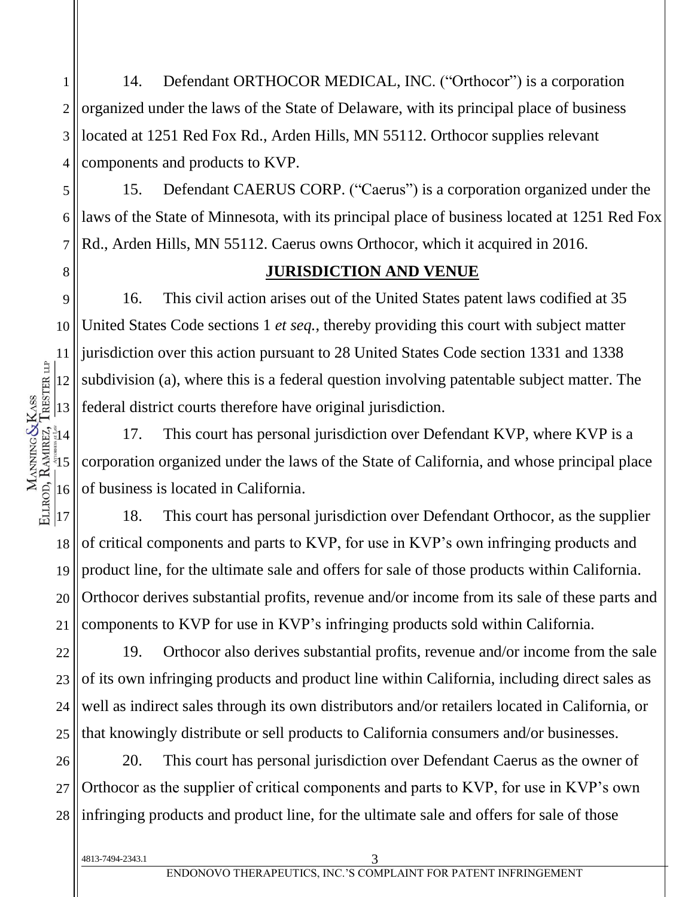1 2 3 4 14. Defendant ORTHOCOR MEDICAL, INC. ("Orthocor") is a corporation organized under the laws of the State of Delaware, with its principal place of business located at 1251 Red Fox Rd., Arden Hills, MN 55112. Orthocor supplies relevant components and products to KVP.

5 6 7 15. Defendant CAERUS CORP. ("Caerus") is a corporation organized under the laws of the State of Minnesota, with its principal place of business located at 1251 Red Fox Rd., Arden Hills, MN 55112. Caerus owns Orthocor, which it acquired in 2016.

### **JURISDICTION AND VENUE**

9 10 16. This civil action arises out of the United States patent laws codified at 35 United States Code sections 1 *et seq.*, thereby providing this court with subject matter jurisdiction over this action pursuant to 28 United States Code section 1331 and 1338 subdivision (a), where this is a federal question involving patentable subject matter. The federal district courts therefore have original jurisdiction.

17. This court has personal jurisdiction over Defendant KVP, where KVP is a corporation organized under the laws of the State of California, and whose principal place of business is located in California.

18 19 20 21 18. This court has personal jurisdiction over Defendant Orthocor, as the supplier of critical components and parts to KVP, for use in KVP's own infringing products and product line, for the ultimate sale and offers for sale of those products within California. Orthocor derives substantial profits, revenue and/or income from its sale of these parts and components to KVP for use in KVP's infringing products sold within California.

22 23 24 25 19. Orthocor also derives substantial profits, revenue and/or income from the sale of its own infringing products and product line within California, including direct sales as well as indirect sales through its own distributors and/or retailers located in California, or that knowingly distribute or sell products to California consumers and/or businesses.

26 27 28 20. This court has personal jurisdiction over Defendant Caerus as the owner of Orthocor as the supplier of critical components and parts to KVP, for use in KVP's own infringing products and product line, for the ultimate sale and offers for sale of those

8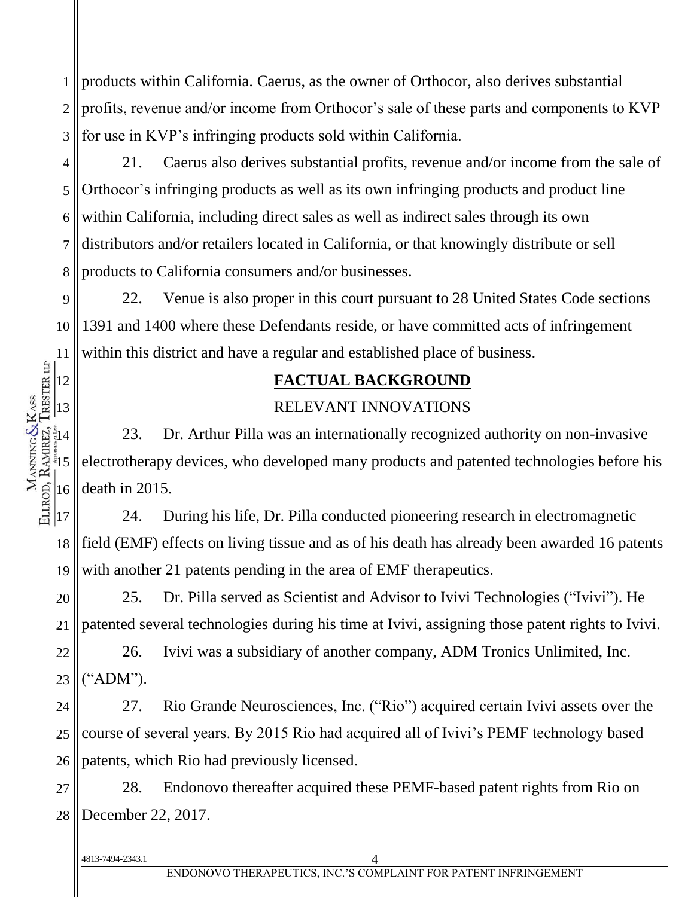1 2 3 products within California. Caerus, as the owner of Orthocor, also derives substantial profits, revenue and/or income from Orthocor's sale of these parts and components to KVP for use in KVP's infringing products sold within California.

4 5 6 7 8 21. Caerus also derives substantial profits, revenue and/or income from the sale of Orthocor's infringing products as well as its own infringing products and product line within California, including direct sales as well as indirect sales through its own distributors and/or retailers located in California, or that knowingly distribute or sell products to California consumers and/or businesses.

9 10 11 22. Venue is also proper in this court pursuant to 28 United States Code sections 1391 and 1400 where these Defendants reside, or have committed acts of infringement within this district and have a regular and established place of business.

### **FACTUAL BACKGROUND**

### RELEVANT INNOVATIONS

23. Dr. Arthur Pilla was an internationally recognized authority on non-invasive electrotherapy devices, who developed many products and patented technologies before his death in 2015.

17 18 19 24. During his life, Dr. Pilla conducted pioneering research in electromagnetic field (EMF) effects on living tissue and as of his death has already been awarded 16 patents with another 21 patents pending in the area of EMF therapeutics.

20 21 25. Dr. Pilla served as Scientist and Advisor to Ivivi Technologies ("Ivivi"). He patented several technologies during his time at Ivivi, assigning those patent rights to Ivivi.

22 23 26. Ivivi was a subsidiary of another company, ADM Tronics Unlimited, Inc. ("ADM").

24 25 26 27. Rio Grande Neurosciences, Inc. ("Rio") acquired certain Ivivi assets over the course of several years. By 2015 Rio had acquired all of Ivivi's PEMF technology based patents, which Rio had previously licensed.

27 28 28. Endonovo thereafter acquired these PEMF-based patent rights from Rio on December 22, 2017.

4813-7494-2343.1 4

12

13

 $\frac{3}{8}14$ 

MANNING&KASS<br>ELLROD, RAMREZ, TRESTER LIP

 $\frac{15}{2}$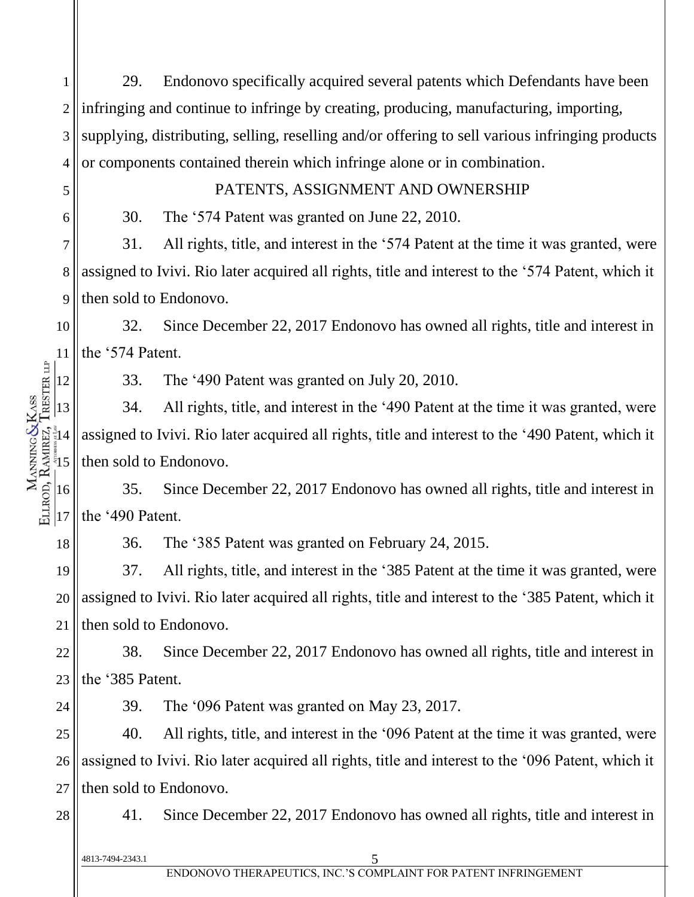1 2 3 4 29. Endonovo specifically acquired several patents which Defendants have been infringing and continue to infringe by creating, producing, manufacturing, importing, supplying, distributing, selling, reselling and/or offering to sell various infringing products or components contained therein which infringe alone or in combination.

#### PATENTS, ASSIGNMENT AND OWNERSHIP

30. The '574 Patent was granted on June 22, 2010.

7 8 9 31. All rights, title, and interest in the '574 Patent at the time it was granted, were assigned to Ivivi. Rio later acquired all rights, title and interest to the '574 Patent, which it then sold to Endonovo.

10 11 32. Since December 22, 2017 Endonovo has owned all rights, title and interest in the '574 Patent.

33. The '490 Patent was granted on July 20, 2010.

13  $\frac{3}{8}14$  $\frac{15}{2}$ 34. All rights, title, and interest in the '490 Patent at the time it was granted, were assigned to Ivivi. Rio later acquired all rights, title and interest to the '490 Patent, which it then sold to Endonovo.

16  $|17$ 35. Since December 22, 2017 Endonovo has owned all rights, title and interest in the '490 Patent.

36. The '385 Patent was granted on February 24, 2015.

19 20 21 37. All rights, title, and interest in the '385 Patent at the time it was granted, were assigned to Ivivi. Rio later acquired all rights, title and interest to the '385 Patent, which it then sold to Endonovo.

22 23 38. Since December 22, 2017 Endonovo has owned all rights, title and interest in the '385 Patent.

24

5

6

12

MANNING&KASS<br>ELLROD, RAMREZ, TRESTER LIP

18

39. The '096 Patent was granted on May 23, 2017.

25 26 27 40. All rights, title, and interest in the '096 Patent at the time it was granted, were assigned to Ivivi. Rio later acquired all rights, title and interest to the '096 Patent, which it then sold to Endonovo.

28

41. Since December 22, 2017 Endonovo has owned all rights, title and interest in

4813-7494-2343.1 5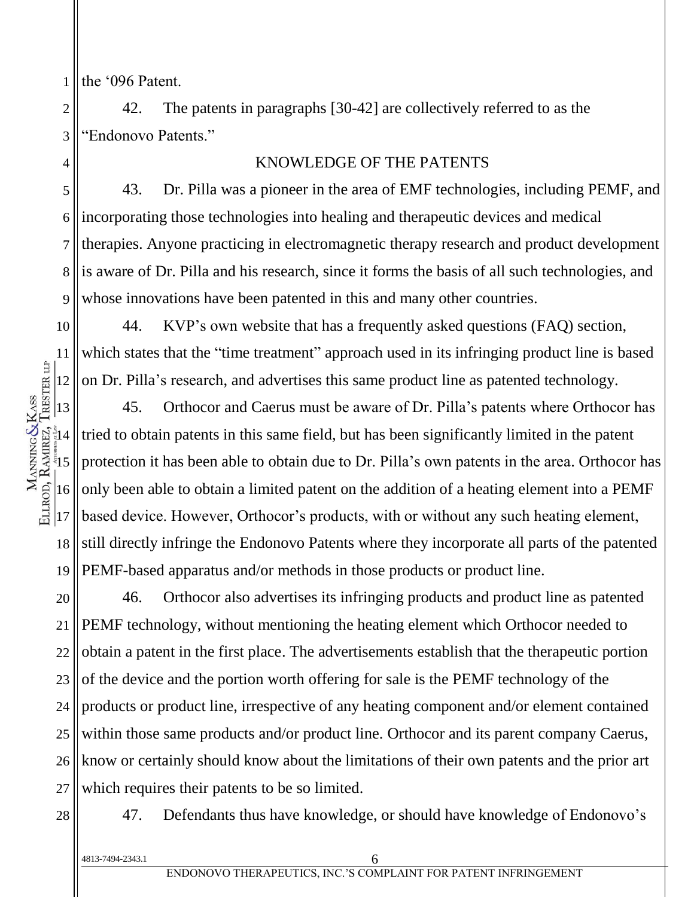1 the '096 Patent.

2

3

4

10

11

12

 $\frac{1}{3}$ 14

MANNING&KASS<br>ELLROD, RAMREZ, TRESTER LIP

17

42. The patents in paragraphs [30-42] are collectively referred to as the "Endonovo Patents."

#### KNOWLEDGE OF THE PATENTS

5 6 7 8 9 43. Dr. Pilla was a pioneer in the area of EMF technologies, including PEMF, and incorporating those technologies into healing and therapeutic devices and medical therapies. Anyone practicing in electromagnetic therapy research and product development is aware of Dr. Pilla and his research, since it forms the basis of all such technologies, and whose innovations have been patented in this and many other countries.

44. KVP's own website that has a frequently asked questions (FAQ) section, which states that the "time treatment" approach used in its infringing product line is based on Dr. Pilla's research, and advertises this same product line as patented technology.

13  $\frac{5}{3}$ 16 18 19 45. Orthocor and Caerus must be aware of Dr. Pilla's patents where Orthocor has tried to obtain patents in this same field, but has been significantly limited in the patent protection it has been able to obtain due to Dr. Pilla's own patents in the area. Orthocor has only been able to obtain a limited patent on the addition of a heating element into a PEMF based device. However, Orthocor's products, with or without any such heating element, still directly infringe the Endonovo Patents where they incorporate all parts of the patented PEMF-based apparatus and/or methods in those products or product line.

20 21 22 23 24 25 26 27 46. Orthocor also advertises its infringing products and product line as patented PEMF technology, without mentioning the heating element which Orthocor needed to obtain a patent in the first place. The advertisements establish that the therapeutic portion of the device and the portion worth offering for sale is the PEMF technology of the products or product line, irrespective of any heating component and/or element contained within those same products and/or product line. Orthocor and its parent company Caerus, know or certainly should know about the limitations of their own patents and the prior art which requires their patents to be so limited.

28

47. Defendants thus have knowledge, or should have knowledge of Endonovo's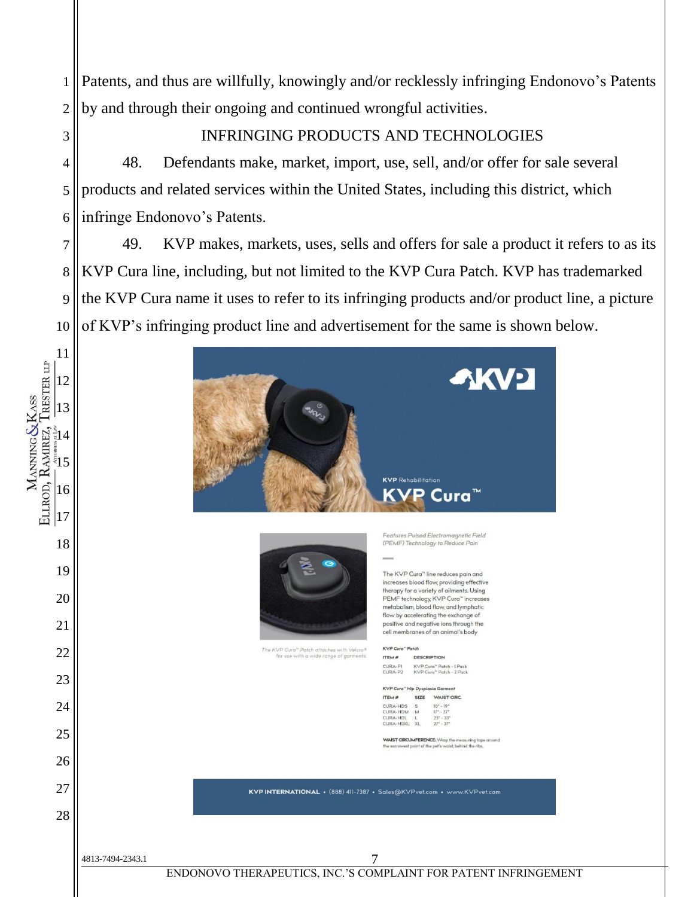Patents, and thus are willfully, knowingly and/or recklessly infringing Endonovo's Patents by and through their ongoing and continued wrongful activities.

# INFRINGING PRODUCTS AND TECHNOLOGIES

 48. Defendants make, market, import, use, sell, and/or offer for sale several products and related services within the United States, including this district, which infringe Endonovo's Patents.

MANNING&KASS<br>ELLROD, RAMREZ, TRESTER LIP

 49. KVP makes, markets, uses, sells and offers for sale a product it refers to as its KVP Cura line, including, but not limited to the KVP Cura Patch. KVP has trademarked the KVP Cura name it uses to refer to its infringing products and/or product line, a picture of KVP's infringing product line and advertisement for the same is shown below.

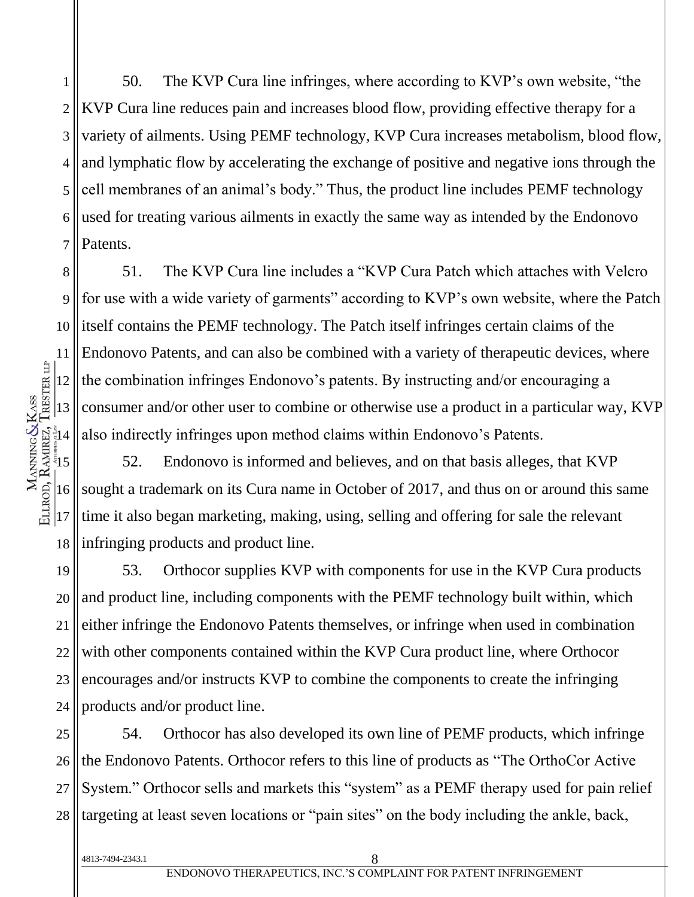1 2 3 4 5 6 7 50. The KVP Cura line infringes, where according to KVP's own website, "the KVP Cura line reduces pain and increases blood flow, providing effective therapy for a variety of ailments. Using PEMF technology, KVP Cura increases metabolism, blood flow, and lymphatic flow by accelerating the exchange of positive and negative ions through the cell membranes of an animal's body." Thus, the product line includes PEMF technology used for treating various ailments in exactly the same way as intended by the Endonovo Patents.

8 9 10 11 12 13  $\frac{1}{3}$ 14 51. The KVP Cura line includes a "KVP Cura Patch which attaches with Velcro for use with a wide variety of garments" according to KVP's own website, where the Patch itself contains the PEMF technology. The Patch itself infringes certain claims of the Endonovo Patents, and can also be combined with a variety of therapeutic devices, where the combination infringes Endonovo's patents. By instructing and/or encouraging a consumer and/or other user to combine or otherwise use a product in a particular way, KVP also indirectly infringes upon method claims within Endonovo's Patents.

 $\frac{15}{2}$ 16 18 52. Endonovo is informed and believes, and on that basis alleges, that KVP sought a trademark on its Cura name in October of 2017, and thus on or around this same time it also began marketing, making, using, selling and offering for sale the relevant infringing products and product line.

19 20 21 22 23 24 53. Orthocor supplies KVP with components for use in the KVP Cura products and product line, including components with the PEMF technology built within, which either infringe the Endonovo Patents themselves, or infringe when used in combination with other components contained within the KVP Cura product line, where Orthocor encourages and/or instructs KVP to combine the components to create the infringing products and/or product line.

25 26 27 28 54. Orthocor has also developed its own line of PEMF products, which infringe the Endonovo Patents. Orthocor refers to this line of products as "The OrthoCor Active System." Orthocor sells and markets this "system" as a PEMF therapy used for pain relief targeting at least seven locations or "pain sites" on the body including the ankle, back,

17

ELLROD, RAMIREZ, TRESTER LIP MANNING&KASS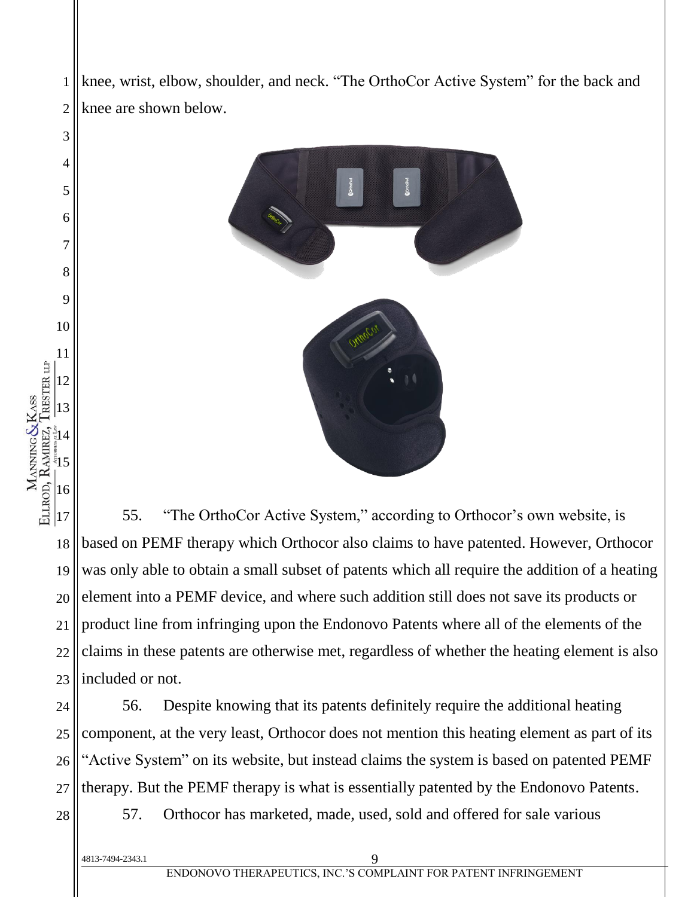knee, wrist, elbow, shoulder, and neck. "The OrthoCor Active System" for the back and knee are shown below.



 $|17$ 18 19 20 21 22 23 55. "The OrthoCor Active System," according to Orthocor's own website, is based on PEMF therapy which Orthocor also claims to have patented. However, Orthocor was only able to obtain a small subset of patents which all require the addition of a heating element into a PEMF device, and where such addition still does not save its products or product line from infringing upon the Endonovo Patents where all of the elements of the claims in these patents are otherwise met, regardless of whether the heating element is also included or not.

24 25 26 27 56. Despite knowing that its patents definitely require the additional heating component, at the very least, Orthocor does not mention this heating element as part of its "Active System" on its website, but instead claims the system is based on patented PEMF therapy. But the PEMF therapy is what is essentially patented by the Endonovo Patents.

28

1

2

3

4

5

6

7

8

9

10

11

12

13

 $\frac{2}{3}14$ 

MANNING&KASS<br>ELLROD, RAMREZ, TRESTER LIP

 $\frac{15}{2}$ 

16

57. Orthocor has marketed, made, used, sold and offered for sale various

4813-7494-2343.1 9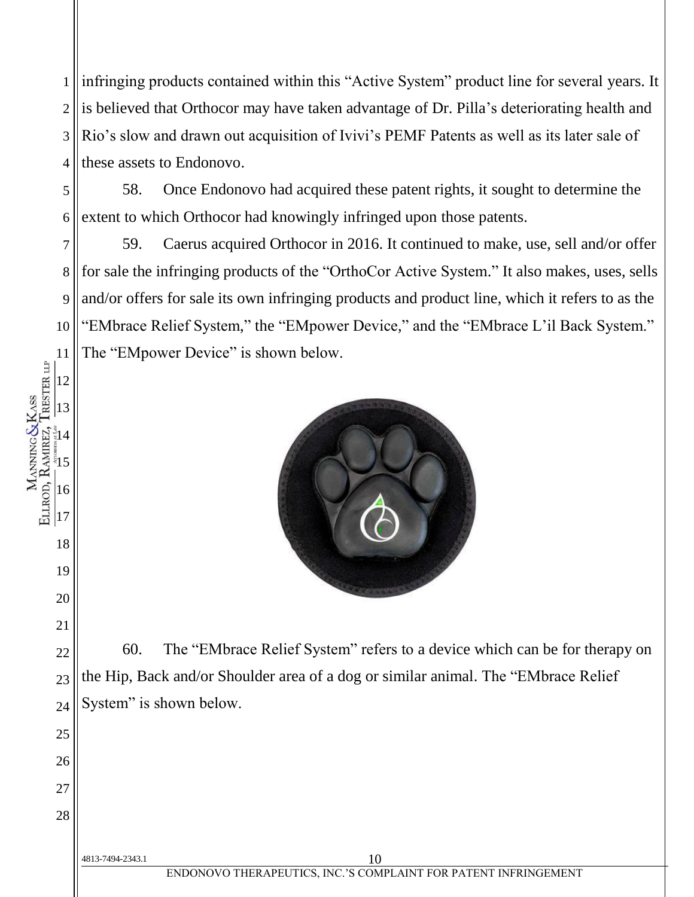1 2 3 4 infringing products contained within this "Active System" product line for several years. It is believed that Orthocor may have taken advantage of Dr. Pilla's deteriorating health and Rio's slow and drawn out acquisition of Ivivi's PEMF Patents as well as its later sale of these assets to Endonovo.

58. Once Endonovo had acquired these patent rights, it sought to determine the extent to which Orthocor had knowingly infringed upon those patents.

7 8 9 10 11 59. Caerus acquired Orthocor in 2016. It continued to make, use, sell and/or offer for sale the infringing products of the "OrthoCor Active System." It also makes, uses, sells and/or offers for sale its own infringing products and product line, which it refers to as the "EMbrace Relief System," the "EMpower Device," and the "EMbrace L'il Back System." The "EMpower Device" is shown below.



60. The "EMbrace Relief System" refers to a device which can be for therapy on the Hip, Back and/or Shoulder area of a dog or similar animal. The "EMbrace Relief System" is shown below.

4813-7494-2343.1 10

5

6

12

13

 $\frac{2}{3}14$ 

MANNING&KASS<br>ELLROD, RAMREZ, TRESTER LIP

 $\frac{15}{2}$ 

16

 $|17$ 

18

19

20

21

22

23

24

25

26

27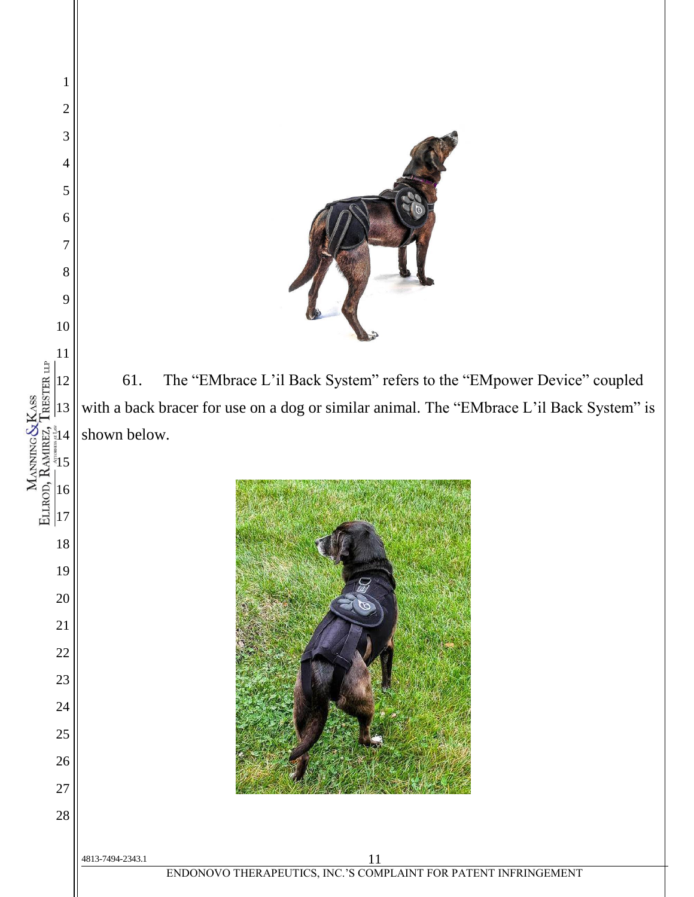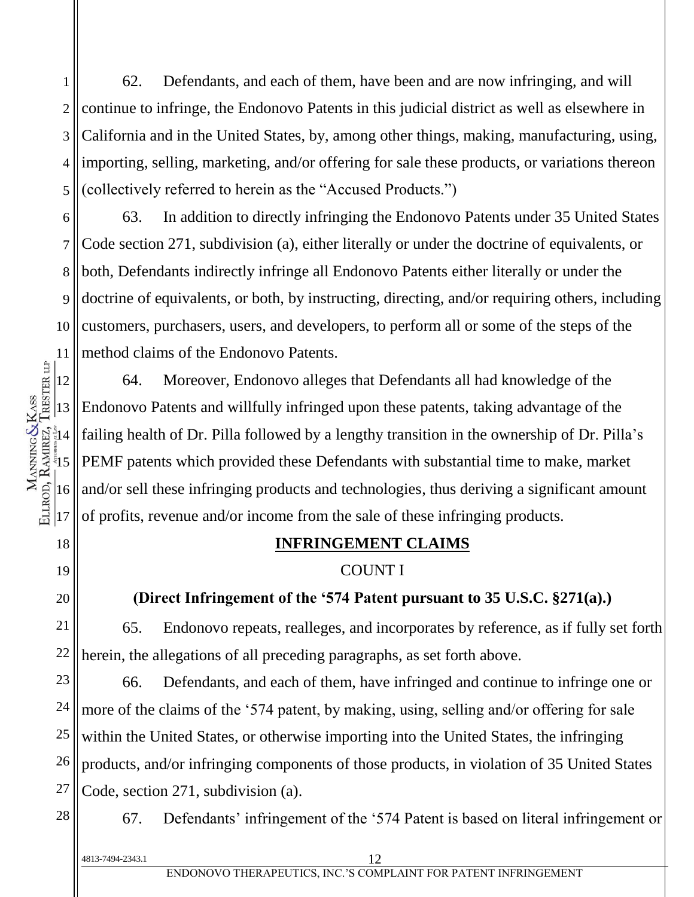1 2 3 4 5 62. Defendants, and each of them, have been and are now infringing, and will continue to infringe, the Endonovo Patents in this judicial district as well as elsewhere in California and in the United States, by, among other things, making, manufacturing, using, importing, selling, marketing, and/or offering for sale these products, or variations thereon (collectively referred to herein as the "Accused Products.")

6 8 63. In addition to directly infringing the Endonovo Patents under 35 United States Code section 271, subdivision (a), either literally or under the doctrine of equivalents, or both, Defendants indirectly infringe all Endonovo Patents either literally or under the doctrine of equivalents, or both, by instructing, directing, and/or requiring others, including customers, purchasers, users, and developers, to perform all or some of the steps of the method claims of the Endonovo Patents.

12 13  $\frac{2}{3}14$  $\frac{15}{2}$ 16  $|17$ 64. Moreover, Endonovo alleges that Defendants all had knowledge of the Endonovo Patents and willfully infringed upon these patents, taking advantage of the failing health of Dr. Pilla followed by a lengthy transition in the ownership of Dr. Pilla's PEMF patents which provided these Defendants with substantial time to make, market and/or sell these infringing products and technologies, thus deriving a significant amount of profits, revenue and/or income from the sale of these infringing products.

### **INFRINGEMENT CLAIMS**

# COUNT I

# **(Direct Infringement of the '574 Patent pursuant to 35 U.S.C. §271(a).)**

65. Endonovo repeats, realleges, and incorporates by reference, as if fully set forth herein, the allegations of all preceding paragraphs, as set forth above.

23 26 66. Defendants, and each of them, have infringed and continue to infringe one or more of the claims of the '574 patent, by making, using, selling and/or offering for sale within the United States, or otherwise importing into the United States, the infringing products, and/or infringing components of those products, in violation of 35 United States Code, section 271, subdivision (a).

28

27

7

9

10

11

MANNING&KASS<br>ELLROD, RAMREZ, TRESTER LIP

18

19

20

21

22

24

25

67. Defendants' infringement of the '574 Patent is based on literal infringement or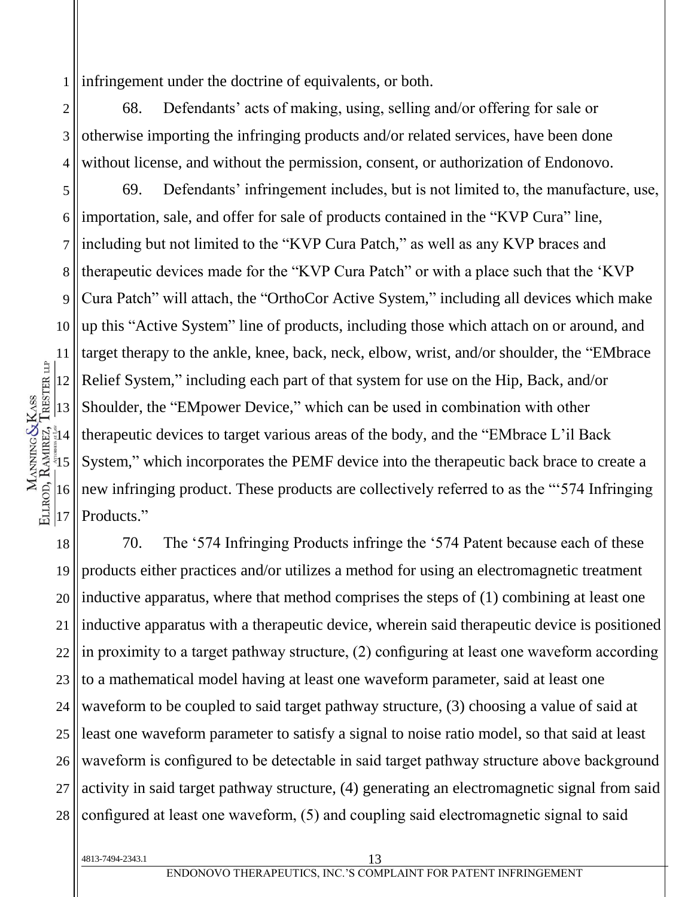1 infringement under the doctrine of equivalents, or both.

2 3 4 68. Defendants' acts of making, using, selling and/or offering for sale or otherwise importing the infringing products and/or related services, have been done without license, and without the permission, consent, or authorization of Endonovo.

5 6 7 8 9 10 69. Defendants' infringement includes, but is not limited to, the manufacture, use, importation, sale, and offer for sale of products contained in the "KVP Cura" line, including but not limited to the "KVP Cura Patch," as well as any KVP braces and therapeutic devices made for the "KVP Cura Patch" or with a place such that the 'KVP Cura Patch" will attach, the "OrthoCor Active System," including all devices which make up this "Active System" line of products, including those which attach on or around, and target therapy to the ankle, knee, back, neck, elbow, wrist, and/or shoulder, the "EMbrace Relief System," including each part of that system for use on the Hip, Back, and/or Shoulder, the "EMpower Device," which can be used in combination with other therapeutic devices to target various areas of the body, and the "EMbrace L'il Back System," which incorporates the PEMF device into the therapeutic back brace to create a new infringing product. These products are collectively referred to as the "'574 Infringing Products."

18 19 20 21 22 23 24 25 26 27 28 70. The '574 Infringing Products infringe the '574 Patent because each of these products either practices and/or utilizes a method for using an electromagnetic treatment inductive apparatus, where that method comprises the steps of (1) combining at least one inductive apparatus with a therapeutic device, wherein said therapeutic device is positioned in proximity to a target pathway structure, (2) configuring at least one waveform according to a mathematical model having at least one waveform parameter, said at least one waveform to be coupled to said target pathway structure, (3) choosing a value of said at least one waveform parameter to satisfy a signal to noise ratio model, so that said at least waveform is configured to be detectable in said target pathway structure above background activity in said target pathway structure, (4) generating an electromagnetic signal from said configured at least one waveform, (5) and coupling said electromagnetic signal to said

MANNING&KASS<br>ELLROD, RAMREZ, TRESTER LIP 12 13  $\frac{2}{3}14$  $\frac{5}{3}$ 16  $|17$ 

11

4813-7494-2343.1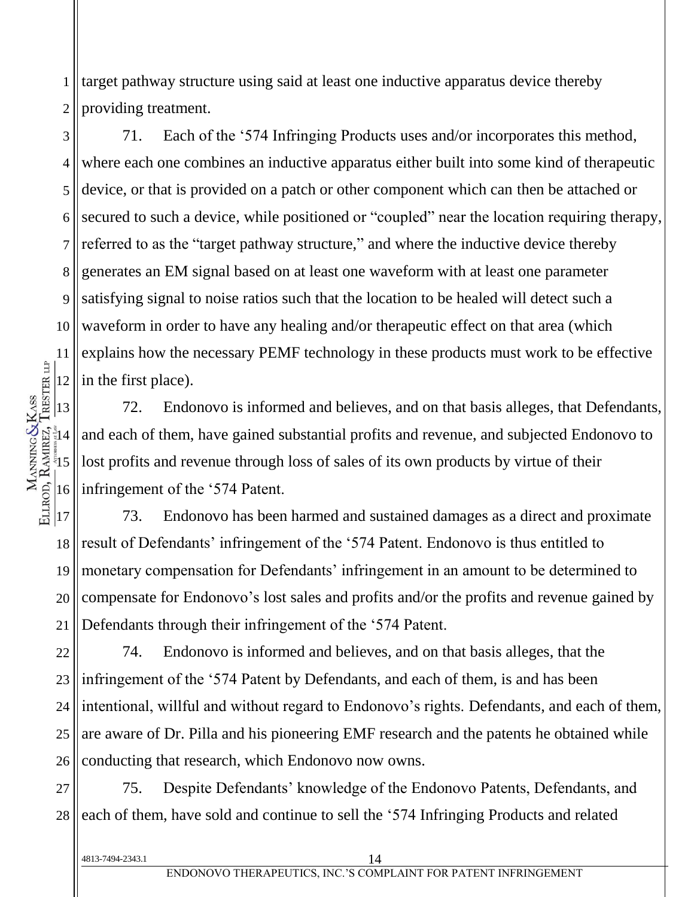1 2 target pathway structure using said at least one inductive apparatus device thereby providing treatment.

3 4 5 6 7 8 9 10 71. Each of the '574 Infringing Products uses and/or incorporates this method, where each one combines an inductive apparatus either built into some kind of therapeutic device, or that is provided on a patch or other component which can then be attached or secured to such a device, while positioned or "coupled" near the location requiring therapy, referred to as the "target pathway structure," and where the inductive device thereby generates an EM signal based on at least one waveform with at least one parameter satisfying signal to noise ratios such that the location to be healed will detect such a waveform in order to have any healing and/or therapeutic effect on that area (which explains how the necessary PEMF technology in these products must work to be effective in the first place).

72. Endonovo is informed and believes, and on that basis alleges, that Defendants, and each of them, have gained substantial profits and revenue, and subjected Endonovo to lost profits and revenue through loss of sales of its own products by virtue of their infringement of the '574 Patent.

18 19 20 21 73. Endonovo has been harmed and sustained damages as a direct and proximate result of Defendants' infringement of the '574 Patent. Endonovo is thus entitled to monetary compensation for Defendants' infringement in an amount to be determined to compensate for Endonovo's lost sales and profits and/or the profits and revenue gained by Defendants through their infringement of the '574 Patent.

22 23 24 25 26 74. Endonovo is informed and believes, and on that basis alleges, that the infringement of the '574 Patent by Defendants, and each of them, is and has been intentional, willful and without regard to Endonovo's rights. Defendants, and each of them, are aware of Dr. Pilla and his pioneering EMF research and the patents he obtained while conducting that research, which Endonovo now owns.

27 28 75. Despite Defendants' knowledge of the Endonovo Patents, Defendants, and each of them, have sold and continue to sell the '574 Infringing Products and related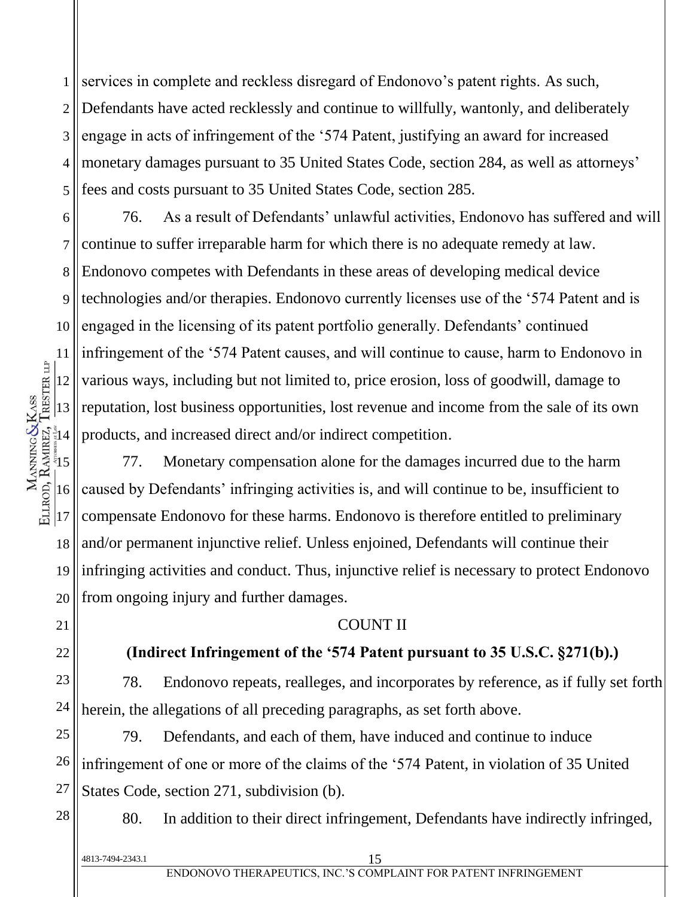1 2 3 4 5 services in complete and reckless disregard of Endonovo's patent rights. As such, Defendants have acted recklessly and continue to willfully, wantonly, and deliberately engage in acts of infringement of the '574 Patent, justifying an award for increased monetary damages pursuant to 35 United States Code, section 284, as well as attorneys' fees and costs pursuant to 35 United States Code, section 285.

6 7 8 9 10 11 12 13  $\frac{1}{3}14$ 76. As a result of Defendants' unlawful activities, Endonovo has suffered and will continue to suffer irreparable harm for which there is no adequate remedy at law. Endonovo competes with Defendants in these areas of developing medical device technologies and/or therapies. Endonovo currently licenses use of the '574 Patent and is engaged in the licensing of its patent portfolio generally. Defendants' continued infringement of the '574 Patent causes, and will continue to cause, harm to Endonovo in various ways, including but not limited to, price erosion, loss of goodwill, damage to reputation, lost business opportunities, lost revenue and income from the sale of its own products, and increased direct and/or indirect competition.

 $\frac{15}{2}$ 16 17 18 19 20 77. Monetary compensation alone for the damages incurred due to the harm caused by Defendants' infringing activities is, and will continue to be, insufficient to compensate Endonovo for these harms. Endonovo is therefore entitled to preliminary and/or permanent injunctive relief. Unless enjoined, Defendants will continue their infringing activities and conduct. Thus, injunctive relief is necessary to protect Endonovo from ongoing injury and further damages.

#### COUNT II

21

MANNING&KASS<br>ELLROD, RAMREZ, TRESTER LIP

22

28

# **(Indirect Infringement of the '574 Patent pursuant to 35 U.S.C. §271(b).)**

23 24 78. Endonovo repeats, realleges, and incorporates by reference, as if fully set forth herein, the allegations of all preceding paragraphs, as set forth above.

25 26 27 79. Defendants, and each of them, have induced and continue to induce infringement of one or more of the claims of the '574 Patent, in violation of 35 United States Code, section 271, subdivision (b).

80. In addition to their direct infringement, Defendants have indirectly infringed,

| 4813-7494-2343.1 |                                                                 |
|------------------|-----------------------------------------------------------------|
|                  | ENDONOVO THERAPEUTICS. INC.'S COMPLAINT FOR PATENT INFRINGEMENT |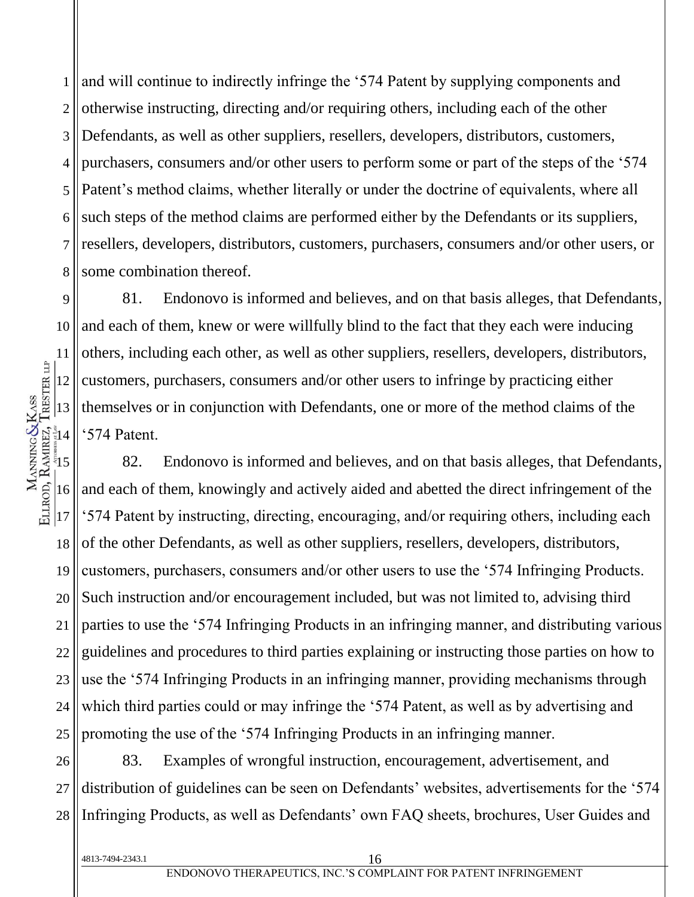1 2 3 4 5 6 7 8 and will continue to indirectly infringe the '574 Patent by supplying components and otherwise instructing, directing and/or requiring others, including each of the other Defendants, as well as other suppliers, resellers, developers, distributors, customers, purchasers, consumers and/or other users to perform some or part of the steps of the '574 Patent's method claims, whether literally or under the doctrine of equivalents, where all such steps of the method claims are performed either by the Defendants or its suppliers, resellers, developers, distributors, customers, purchasers, consumers and/or other users, or some combination thereof.

9 10 11 12 13  $\frac{3}{5}14$ 81. Endonovo is informed and believes, and on that basis alleges, that Defendants, and each of them, knew or were willfully blind to the fact that they each were inducing others, including each other, as well as other suppliers, resellers, developers, distributors, customers, purchasers, consumers and/or other users to infringe by practicing either themselves or in conjunction with Defendants, one or more of the method claims of the '574 Patent.

 $\frac{15}{2}$ 16  $|17$ 18 19 20 21 22 23 24 25 82. Endonovo is informed and believes, and on that basis alleges, that Defendants, and each of them, knowingly and actively aided and abetted the direct infringement of the '574 Patent by instructing, directing, encouraging, and/or requiring others, including each of the other Defendants, as well as other suppliers, resellers, developers, distributors, customers, purchasers, consumers and/or other users to use the '574 Infringing Products. Such instruction and/or encouragement included, but was not limited to, advising third parties to use the '574 Infringing Products in an infringing manner, and distributing various guidelines and procedures to third parties explaining or instructing those parties on how to use the '574 Infringing Products in an infringing manner, providing mechanisms through which third parties could or may infringe the '574 Patent, as well as by advertising and promoting the use of the '574 Infringing Products in an infringing manner.

26 27 28 83. Examples of wrongful instruction, encouragement, advertisement, and distribution of guidelines can be seen on Defendants' websites, advertisements for the '574 Infringing Products, as well as Defendants' own FAQ sheets, brochures, User Guides and

MANNING&KASS<br>ELLROD, RAMREZ, TRESTER LIP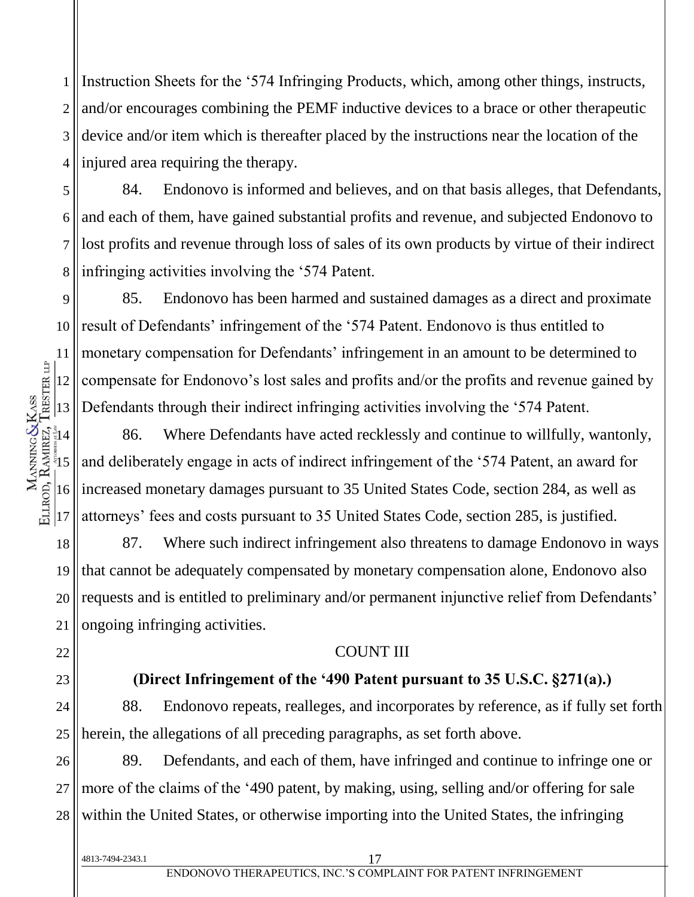1 2 3 4 Instruction Sheets for the '574 Infringing Products, which, among other things, instructs, and/or encourages combining the PEMF inductive devices to a brace or other therapeutic device and/or item which is thereafter placed by the instructions near the location of the injured area requiring the therapy.

5 6 7 8 84. Endonovo is informed and believes, and on that basis alleges, that Defendants, and each of them, have gained substantial profits and revenue, and subjected Endonovo to lost profits and revenue through loss of sales of its own products by virtue of their indirect infringing activities involving the '574 Patent.

9 10 11 85. Endonovo has been harmed and sustained damages as a direct and proximate result of Defendants' infringement of the '574 Patent. Endonovo is thus entitled to monetary compensation for Defendants' infringement in an amount to be determined to compensate for Endonovo's lost sales and profits and/or the profits and revenue gained by Defendants through their indirect infringing activities involving the '574 Patent.

86. Where Defendants have acted recklessly and continue to willfully, wantonly, and deliberately engage in acts of indirect infringement of the '574 Patent, an award for increased monetary damages pursuant to 35 United States Code, section 284, as well as attorneys' fees and costs pursuant to 35 United States Code, section 285, is justified.

19 20 21 87. Where such indirect infringement also threatens to damage Endonovo in ways that cannot be adequately compensated by monetary compensation alone, Endonovo also requests and is entitled to preliminary and/or permanent injunctive relief from Defendants' ongoing infringing activities.

#### COUNT III

**(Direct Infringement of the '490 Patent pursuant to 35 U.S.C. §271(a).)**

24 25 88. Endonovo repeats, realleges, and incorporates by reference, as if fully set forth herein, the allegations of all preceding paragraphs, as set forth above.

26 27 28 89. Defendants, and each of them, have infringed and continue to infringe one or more of the claims of the '490 patent, by making, using, selling and/or offering for sale within the United States, or otherwise importing into the United States, the infringing

22

23

4813-7494-2343.1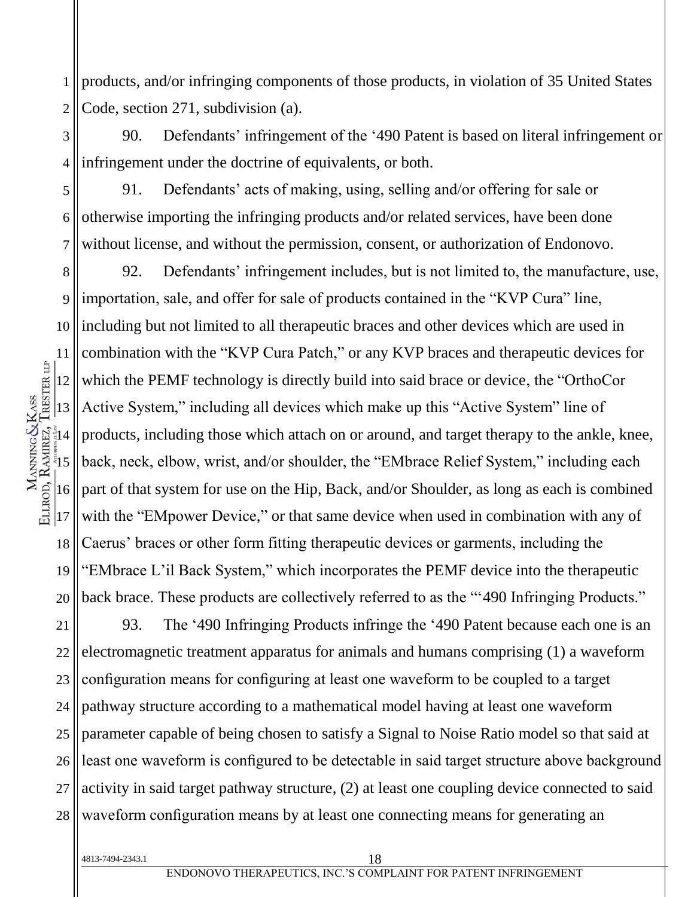1 2 products, and/or infringing components of those products, in violation of 35 United States Code, section 271, subdivision (a).

3 4 90. Defendants' infringement of the '490 Patent is based on literal infringement or infringement under the doctrine of equivalents, or both.

5 6 7 91. Defendants' acts of making, using, selling and/or offering for sale or otherwise importing the infringing products and/or related services, have been done without license, and without the permission, consent, or authorization of Endonovo.

8 9 10 11 12 13  $\frac{2}{3}14$  $\frac{15}{2}$ 16  $|17$ 18 19 20 92. Defendants' infringement includes, but is not limited to, the manufacture, use, importation, sale, and offer for sale of products contained in the "KVP Cura" line, including but not limited to all therapeutic braces and other devices which are used in combination with the "KVP Cura Patch," or any KVP braces and therapeutic devices for which the PEMF technology is directly build into said brace or device, the "OrthoCor Active System," including all devices which make up this "Active System" line of products, including those which attach on or around, and target therapy to the ankle, knee, back, neck, elbow, wrist, and/or shoulder, the "EMbrace Relief System," including each part of that system for use on the Hip, Back, and/or Shoulder, as long as each is combined with the "EMpower Device," or that same device when used in combination with any of Caerus' braces or other form fitting therapeutic devices or garments, including the "EMbrace L'il Back System," which incorporates the PEMF device into the therapeutic back brace. These products are collectively referred to as the "'490 Infringing Products."

21 22 23 24 25 26 27 28 93. The '490 Infringing Products infringe the '490 Patent because each one is an electromagnetic treatment apparatus for animals and humans comprising (1) a waveform configuration means for configuring at least one waveform to be coupled to a target pathway structure according to a mathematical model having at least one waveform parameter capable of being chosen to satisfy a Signal to Noise Ratio model so that said at least one waveform is configured to be detectable in said target structure above background activity in said target pathway structure, (2) at least one coupling device connected to said waveform configuration means by at least one connecting means for generating an

ELLROD, RAMIREZ, TRESTER LIP MANNING & KASS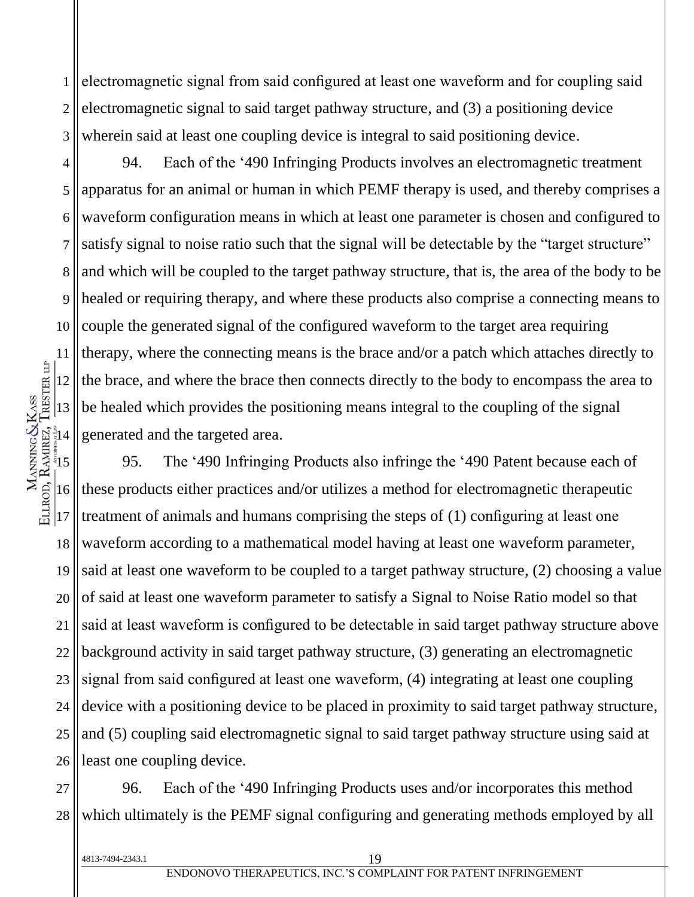1 2 3 electromagnetic signal from said configured at least one waveform and for coupling said electromagnetic signal to said target pathway structure, and (3) a positioning device wherein said at least one coupling device is integral to said positioning device.

94. Each of the '490 Infringing Products involves an electromagnetic treatment apparatus for an animal or human in which PEMF therapy is used, and thereby comprises a waveform configuration means in which at least one parameter is chosen and configured to satisfy signal to noise ratio such that the signal will be detectable by the "target structure" and which will be coupled to the target pathway structure, that is, the area of the body to be healed or requiring therapy, and where these products also comprise a connecting means to couple the generated signal of the configured waveform to the target area requiring therapy, where the connecting means is the brace and/or a patch which attaches directly to the brace, and where the brace then connects directly to the body to encompass the area to be healed which provides the positioning means integral to the coupling of the signal generated and the targeted area.

 $\frac{15}{2}$ 16 23 24 25 26 95. The '490 Infringing Products also infringe the '490 Patent because each of these products either practices and/or utilizes a method for electromagnetic therapeutic treatment of animals and humans comprising the steps of (1) configuring at least one waveform according to a mathematical model having at least one waveform parameter, said at least one waveform to be coupled to a target pathway structure, (2) choosing a value of said at least one waveform parameter to satisfy a Signal to Noise Ratio model so that said at least waveform is configured to be detectable in said target pathway structure above background activity in said target pathway structure, (3) generating an electromagnetic signal from said configured at least one waveform, (4) integrating at least one coupling device with a positioning device to be placed in proximity to said target pathway structure, and (5) coupling said electromagnetic signal to said target pathway structure using said at least one coupling device.

27 28 96. Each of the '490 Infringing Products uses and/or incorporates this method which ultimately is the PEMF signal configuring and generating methods employed by all

4813-7494-2343.1

4

5

6

7

8

9

10

11

12

13

្ទំ $14$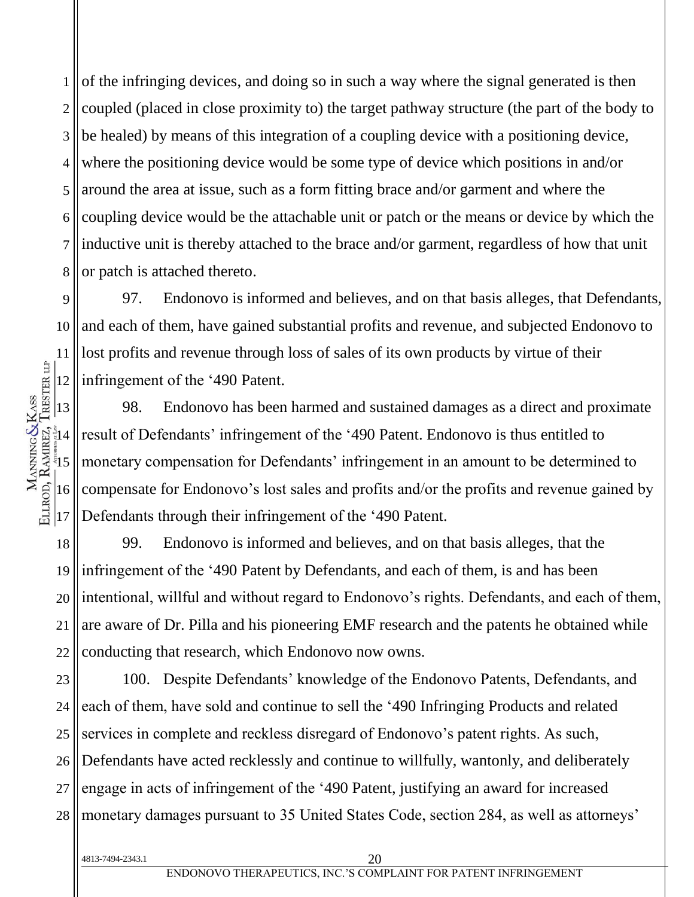1 2 3 4 5 6 7 8 of the infringing devices, and doing so in such a way where the signal generated is then coupled (placed in close proximity to) the target pathway structure (the part of the body to be healed) by means of this integration of a coupling device with a positioning device, where the positioning device would be some type of device which positions in and/or around the area at issue, such as a form fitting brace and/or garment and where the coupling device would be the attachable unit or patch or the means or device by which the inductive unit is thereby attached to the brace and/or garment, regardless of how that unit or patch is attached thereto.

9 10 11 12 97. Endonovo is informed and believes, and on that basis alleges, that Defendants, and each of them, have gained substantial profits and revenue, and subjected Endonovo to lost profits and revenue through loss of sales of its own products by virtue of their infringement of the '490 Patent.

98. Endonovo has been harmed and sustained damages as a direct and proximate result of Defendants' infringement of the '490 Patent. Endonovo is thus entitled to monetary compensation for Defendants' infringement in an amount to be determined to compensate for Endonovo's lost sales and profits and/or the profits and revenue gained by Defendants through their infringement of the '490 Patent.

18 19 20 21 22 99. Endonovo is informed and believes, and on that basis alleges, that the infringement of the '490 Patent by Defendants, and each of them, is and has been intentional, willful and without regard to Endonovo's rights. Defendants, and each of them, are aware of Dr. Pilla and his pioneering EMF research and the patents he obtained while conducting that research, which Endonovo now owns.

23 24 25 26 27 28 100. Despite Defendants' knowledge of the Endonovo Patents, Defendants, and each of them, have sold and continue to sell the '490 Infringing Products and related services in complete and reckless disregard of Endonovo's patent rights. As such, Defendants have acted recklessly and continue to willfully, wantonly, and deliberately engage in acts of infringement of the '490 Patent, justifying an award for increased monetary damages pursuant to 35 United States Code, section 284, as well as attorneys'

13

 $\frac{1}{3}$ 14

MANNING&KASS<br>ELLROD, RAMREZ, TRESTER LIP

 $\frac{5}{3}$ 

16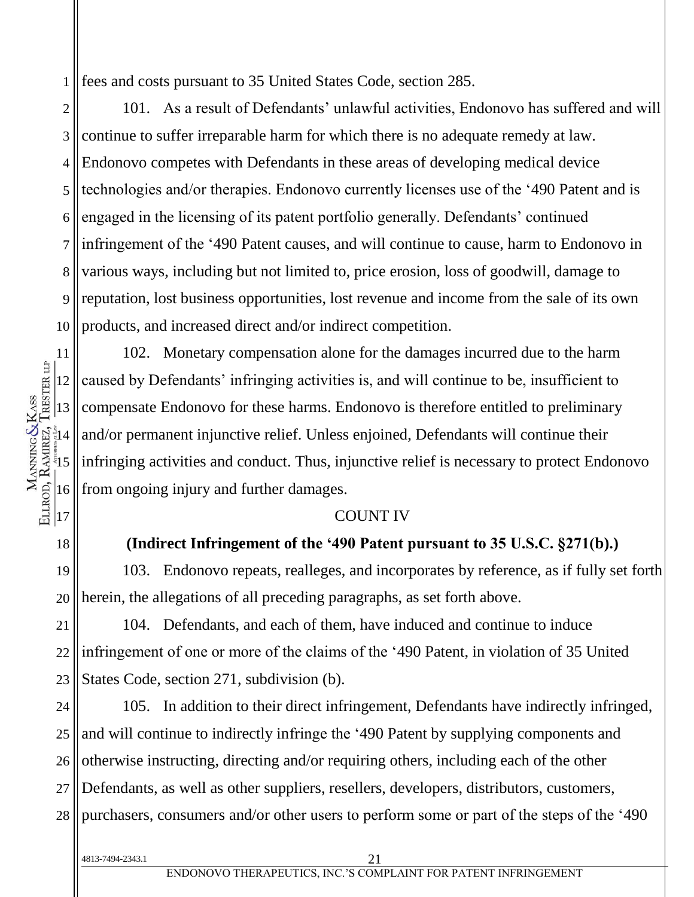1 fees and costs pursuant to 35 United States Code, section 285.

2 3 4 5 6 7 8 9 10 101. As a result of Defendants' unlawful activities, Endonovo has suffered and will continue to suffer irreparable harm for which there is no adequate remedy at law. Endonovo competes with Defendants in these areas of developing medical device technologies and/or therapies. Endonovo currently licenses use of the '490 Patent and is engaged in the licensing of its patent portfolio generally. Defendants' continued infringement of the '490 Patent causes, and will continue to cause, harm to Endonovo in various ways, including but not limited to, price erosion, loss of goodwill, damage to reputation, lost business opportunities, lost revenue and income from the sale of its own products, and increased direct and/or indirect competition.

102. Monetary compensation alone for the damages incurred due to the harm caused by Defendants' infringing activities is, and will continue to be, insufficient to compensate Endonovo for these harms. Endonovo is therefore entitled to preliminary and/or permanent injunctive relief. Unless enjoined, Defendants will continue their infringing activities and conduct. Thus, injunctive relief is necessary to protect Endonovo from ongoing injury and further damages.

#### COUNT IV

**(Indirect Infringement of the '490 Patent pursuant to 35 U.S.C. §271(b).)**

19 20 103. Endonovo repeats, realleges, and incorporates by reference, as if fully set forth herein, the allegations of all preceding paragraphs, as set forth above.

21 22 23 104. Defendants, and each of them, have induced and continue to induce infringement of one or more of the claims of the '490 Patent, in violation of 35 United States Code, section 271, subdivision (b).

24 25 26 27 28 105. In addition to their direct infringement, Defendants have indirectly infringed, and will continue to indirectly infringe the '490 Patent by supplying components and otherwise instructing, directing and/or requiring others, including each of the other Defendants, as well as other suppliers, resellers, developers, distributors, customers, purchasers, consumers and/or other users to perform some or part of the steps of the '490

4813-7494-2343.1

11

12

13

 $\frac{2}{3}14$ 

MANNING&KASS<br>ELLROD, RAMREZ, TRESTER LIP

 $\frac{5}{3}$ 

16

 $|17$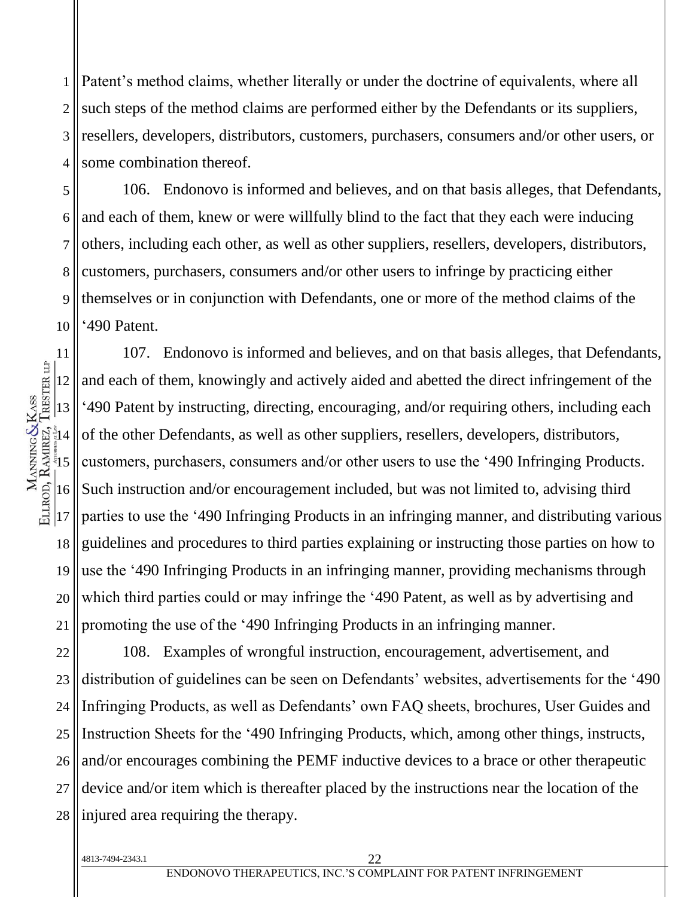1 2 3 4 Patent's method claims, whether literally or under the doctrine of equivalents, where all such steps of the method claims are performed either by the Defendants or its suppliers, resellers, developers, distributors, customers, purchasers, consumers and/or other users, or some combination thereof.

5 6 7 8 9 10 106. Endonovo is informed and believes, and on that basis alleges, that Defendants, and each of them, knew or were willfully blind to the fact that they each were inducing others, including each other, as well as other suppliers, resellers, developers, distributors, customers, purchasers, consumers and/or other users to infringe by practicing either themselves or in conjunction with Defendants, one or more of the method claims of the '490 Patent.

11 12 13  $\frac{1}{3}$ 14  $\frac{5}{3}$ 16 17 18 19 20 21 107. Endonovo is informed and believes, and on that basis alleges, that Defendants, and each of them, knowingly and actively aided and abetted the direct infringement of the '490 Patent by instructing, directing, encouraging, and/or requiring others, including each of the other Defendants, as well as other suppliers, resellers, developers, distributors, customers, purchasers, consumers and/or other users to use the '490 Infringing Products. Such instruction and/or encouragement included, but was not limited to, advising third parties to use the '490 Infringing Products in an infringing manner, and distributing various guidelines and procedures to third parties explaining or instructing those parties on how to use the '490 Infringing Products in an infringing manner, providing mechanisms through which third parties could or may infringe the '490 Patent, as well as by advertising and promoting the use of the '490 Infringing Products in an infringing manner.

22 23 24 25 26 108. Examples of wrongful instruction, encouragement, advertisement, and distribution of guidelines can be seen on Defendants' websites, advertisements for the '490 Infringing Products, as well as Defendants' own FAQ sheets, brochures, User Guides and Instruction Sheets for the '490 Infringing Products, which, among other things, instructs, and/or encourages combining the PEMF inductive devices to a brace or other therapeutic device and/or item which is thereafter placed by the instructions near the location of the injured area requiring the therapy.

MANNING&KASS<br>ELLROD, RAMREZ, TRESTER LIP

4813-7494-2343.1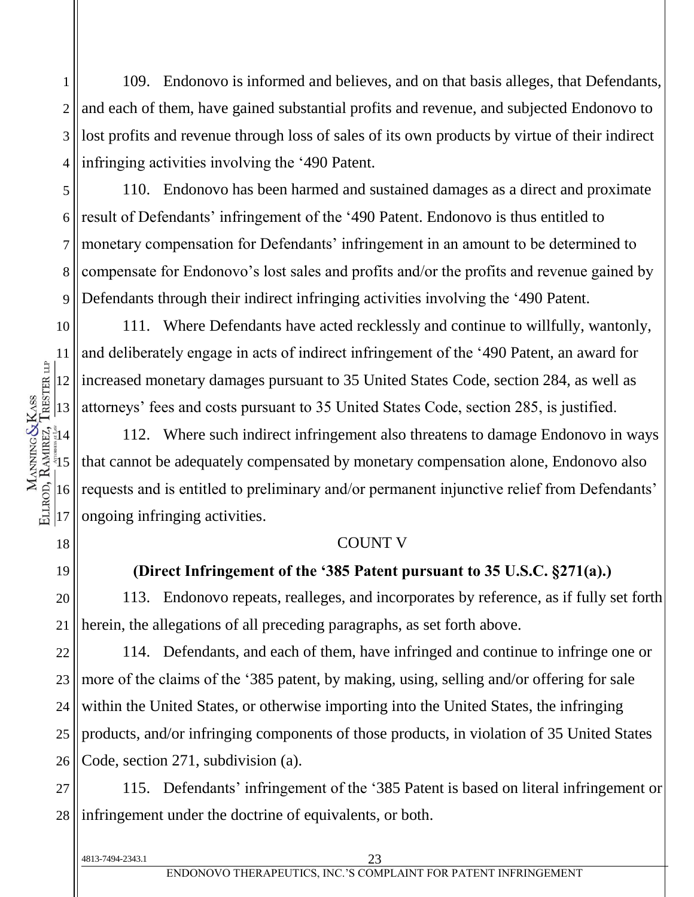1 2 3 4 109. Endonovo is informed and believes, and on that basis alleges, that Defendants, and each of them, have gained substantial profits and revenue, and subjected Endonovo to lost profits and revenue through loss of sales of its own products by virtue of their indirect infringing activities involving the '490 Patent.

5 6 7 8 9 110. Endonovo has been harmed and sustained damages as a direct and proximate result of Defendants' infringement of the '490 Patent. Endonovo is thus entitled to monetary compensation for Defendants' infringement in an amount to be determined to compensate for Endonovo's lost sales and profits and/or the profits and revenue gained by Defendants through their indirect infringing activities involving the '490 Patent.

10 111. Where Defendants have acted recklessly and continue to willfully, wantonly, and deliberately engage in acts of indirect infringement of the '490 Patent, an award for increased monetary damages pursuant to 35 United States Code, section 284, as well as attorneys' fees and costs pursuant to 35 United States Code, section 285, is justified.

112. Where such indirect infringement also threatens to damage Endonovo in ways that cannot be adequately compensated by monetary compensation alone, Endonovo also requests and is entitled to preliminary and/or permanent injunctive relief from Defendants' ongoing infringing activities.

#### COUNT V

### **(Direct Infringement of the '385 Patent pursuant to 35 U.S.C. §271(a).)**

20 21 113. Endonovo repeats, realleges, and incorporates by reference, as if fully set forth herein, the allegations of all preceding paragraphs, as set forth above.

22 23 24 25 26 114. Defendants, and each of them, have infringed and continue to infringe one or more of the claims of the '385 patent, by making, using, selling and/or offering for sale within the United States, or otherwise importing into the United States, the infringing products, and/or infringing components of those products, in violation of 35 United States Code, section 271, subdivision (a).

27 28 115. Defendants' infringement of the '385 Patent is based on literal infringement or infringement under the doctrine of equivalents, or both.

11

18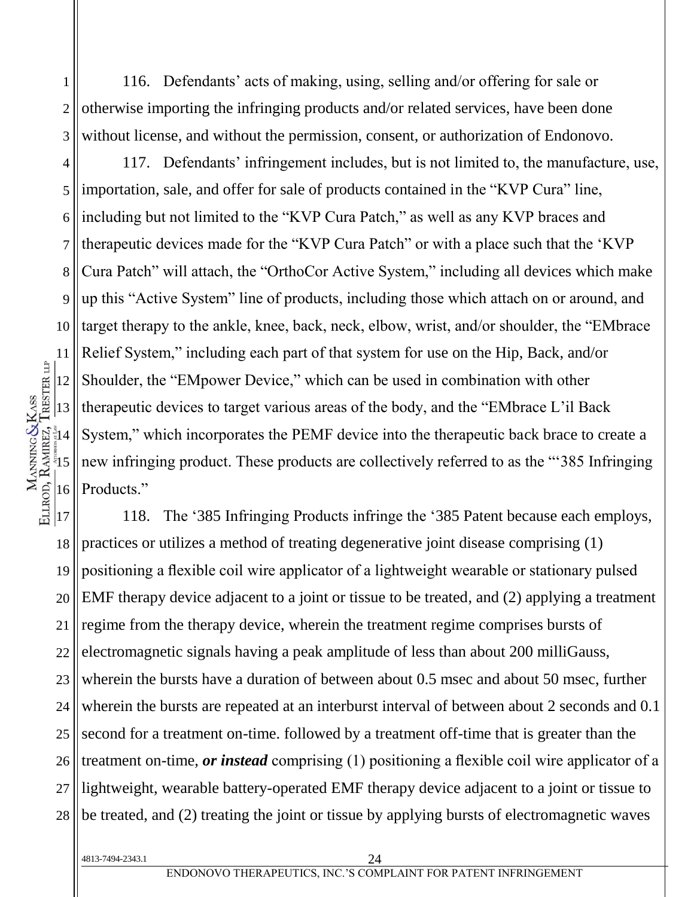116. Defendants' acts of making, using, selling and/or offering for sale or otherwise importing the infringing products and/or related services, have been done without license, and without the permission, consent, or authorization of Endonovo.

4 5 6 7 8 9 10 12 13  $\frac{2}{3}14$  $\frac{5}{3}$ 16 117. Defendants' infringement includes, but is not limited to, the manufacture, use, importation, sale, and offer for sale of products contained in the "KVP Cura" line, including but not limited to the "KVP Cura Patch," as well as any KVP braces and therapeutic devices made for the "KVP Cura Patch" or with a place such that the 'KVP Cura Patch" will attach, the "OrthoCor Active System," including all devices which make up this "Active System" line of products, including those which attach on or around, and target therapy to the ankle, knee, back, neck, elbow, wrist, and/or shoulder, the "EMbrace Relief System," including each part of that system for use on the Hip, Back, and/or Shoulder, the "EMpower Device," which can be used in combination with other therapeutic devices to target various areas of the body, and the "EMbrace L'il Back System," which incorporates the PEMF device into the therapeutic back brace to create a new infringing product. These products are collectively referred to as the "'385 Infringing Products."

17 18 19 20 21 22 23 24 25 26 27 28 118. The '385 Infringing Products infringe the '385 Patent because each employs, practices or utilizes a method of treating degenerative joint disease comprising (1) positioning a flexible coil wire applicator of a lightweight wearable or stationary pulsed EMF therapy device adjacent to a joint or tissue to be treated, and (2) applying a treatment regime from the therapy device, wherein the treatment regime comprises bursts of electromagnetic signals having a peak amplitude of less than about 200 milliGauss, wherein the bursts have a duration of between about 0.5 msec and about 50 msec, further wherein the bursts are repeated at an interburst interval of between about 2 seconds and 0.1 second for a treatment on-time. followed by a treatment off-time that is greater than the treatment on-time, *or instead* comprising (1) positioning a flexible coil wire applicator of a lightweight, wearable battery-operated EMF therapy device adjacent to a joint or tissue to be treated, and (2) treating the joint or tissue by applying bursts of electromagnetic waves

4813-7494-2343.1 24

1

2

3

11

ELLROD, RAMIREZ, TRESTER LIP MANNING & KASS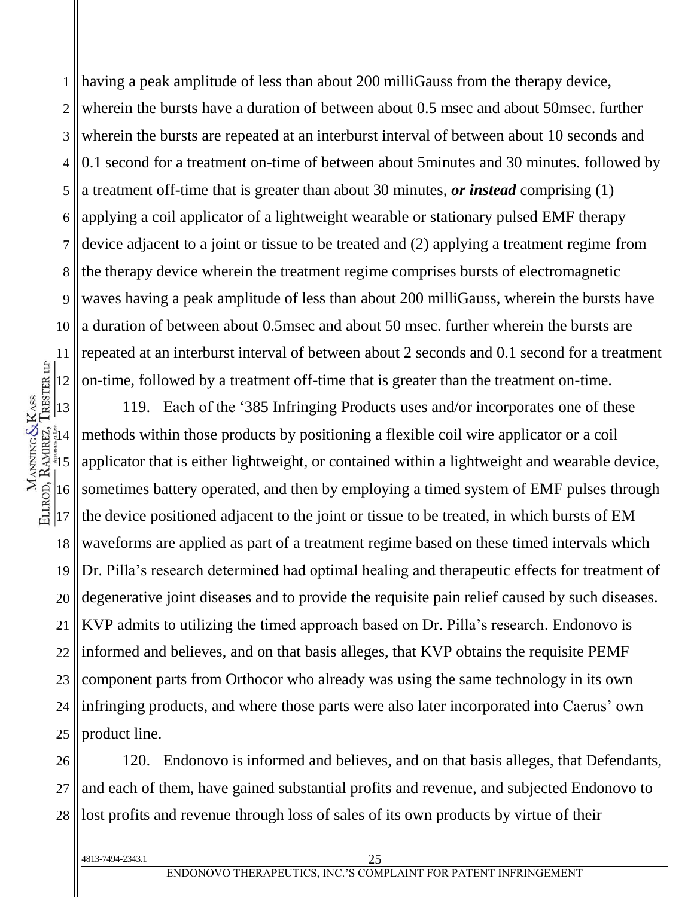1 2 3 4 5 6 7 8 9 10 11 12 having a peak amplitude of less than about 200 milliGauss from the therapy device, wherein the bursts have a duration of between about 0.5 msec and about 50msec. further wherein the bursts are repeated at an interburst interval of between about 10 seconds and 0.1 second for a treatment on-time of between about 5minutes and 30 minutes. followed by a treatment off-time that is greater than about 30 minutes, *or instead* comprising (1) applying a coil applicator of a lightweight wearable or stationary pulsed EMF therapy device adjacent to a joint or tissue to be treated and (2) applying a treatment regime from the therapy device wherein the treatment regime comprises bursts of electromagnetic waves having a peak amplitude of less than about 200 milliGauss, wherein the bursts have a duration of between about 0.5msec and about 50 msec. further wherein the bursts are repeated at an interburst interval of between about 2 seconds and 0.1 second for a treatment on-time, followed by a treatment off-time that is greater than the treatment on-time.

13  $\frac{1}{3}$ 14  $\frac{5}{3}$ 16 17 18 19 20 21 22 23 24 25 119. Each of the '385 Infringing Products uses and/or incorporates one of these methods within those products by positioning a flexible coil wire applicator or a coil applicator that is either lightweight, or contained within a lightweight and wearable device, sometimes battery operated, and then by employing a timed system of EMF pulses through the device positioned adjacent to the joint or tissue to be treated, in which bursts of EM waveforms are applied as part of a treatment regime based on these timed intervals which Dr. Pilla's research determined had optimal healing and therapeutic effects for treatment of degenerative joint diseases and to provide the requisite pain relief caused by such diseases. KVP admits to utilizing the timed approach based on Dr. Pilla's research. Endonovo is informed and believes, and on that basis alleges, that KVP obtains the requisite PEMF component parts from Orthocor who already was using the same technology in its own infringing products, and where those parts were also later incorporated into Caerus' own product line.

26 27 28 120. Endonovo is informed and believes, and on that basis alleges, that Defendants, and each of them, have gained substantial profits and revenue, and subjected Endonovo to lost profits and revenue through loss of sales of its own products by virtue of their

MANNING&KASS<br>ELLROD, RAMREZ, TRESTER LIP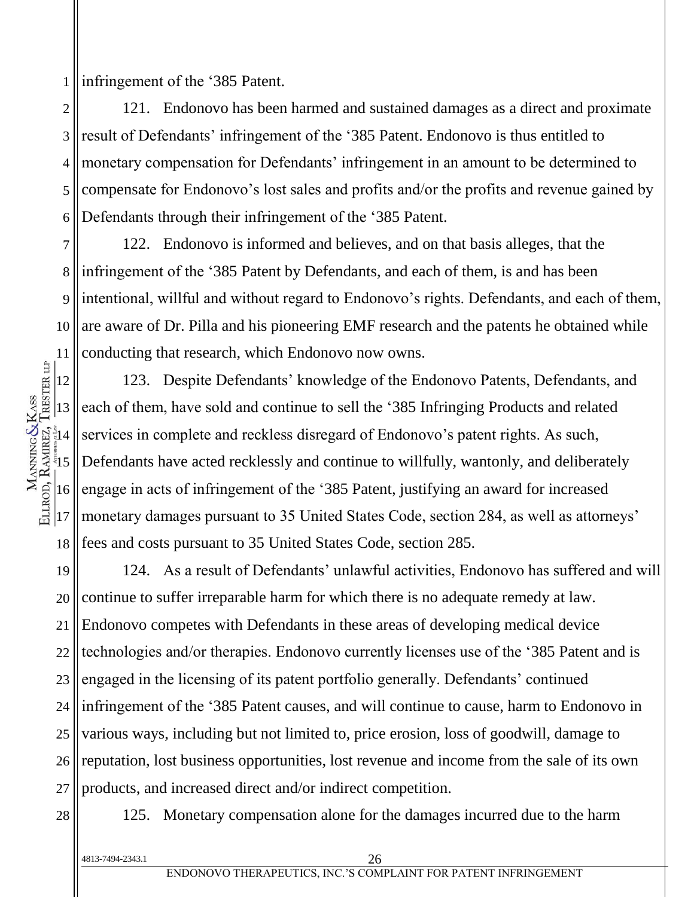1 infringement of the '385 Patent.

2 3 4 5 6 121. Endonovo has been harmed and sustained damages as a direct and proximate result of Defendants' infringement of the '385 Patent. Endonovo is thus entitled to monetary compensation for Defendants' infringement in an amount to be determined to compensate for Endonovo's lost sales and profits and/or the profits and revenue gained by Defendants through their infringement of the '385 Patent.

7 8 9 10 11 122. Endonovo is informed and believes, and on that basis alleges, that the infringement of the '385 Patent by Defendants, and each of them, is and has been intentional, willful and without regard to Endonovo's rights. Defendants, and each of them, are aware of Dr. Pilla and his pioneering EMF research and the patents he obtained while conducting that research, which Endonovo now owns.

12 13  $\frac{1}{3}14$  $\frac{5}{3}$ 16  $|17$ 18 123. Despite Defendants' knowledge of the Endonovo Patents, Defendants, and each of them, have sold and continue to sell the '385 Infringing Products and related services in complete and reckless disregard of Endonovo's patent rights. As such, Defendants have acted recklessly and continue to willfully, wantonly, and deliberately engage in acts of infringement of the '385 Patent, justifying an award for increased monetary damages pursuant to 35 United States Code, section 284, as well as attorneys' fees and costs pursuant to 35 United States Code, section 285.

19 20 21 22 23 24 25 26 27 124. As a result of Defendants' unlawful activities, Endonovo has suffered and will continue to suffer irreparable harm for which there is no adequate remedy at law. Endonovo competes with Defendants in these areas of developing medical device technologies and/or therapies. Endonovo currently licenses use of the '385 Patent and is engaged in the licensing of its patent portfolio generally. Defendants' continued infringement of the '385 Patent causes, and will continue to cause, harm to Endonovo in various ways, including but not limited to, price erosion, loss of goodwill, damage to reputation, lost business opportunities, lost revenue and income from the sale of its own products, and increased direct and/or indirect competition.

28

MANNING&KASS<br>ELLROD, RAMREZ, TRESTER LIP

125. Monetary compensation alone for the damages incurred due to the harm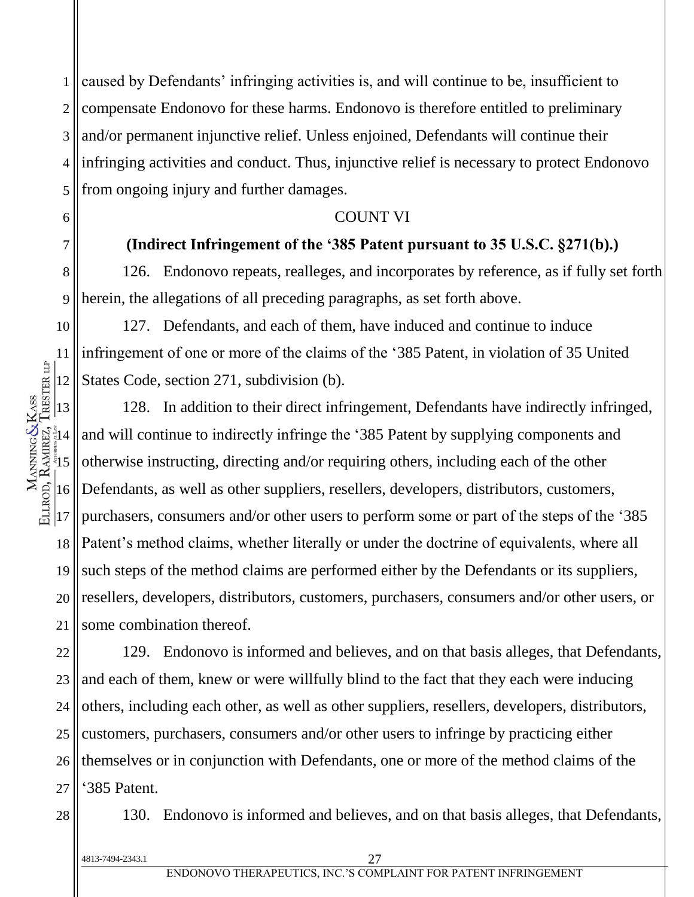1 2 3 4 5 caused by Defendants' infringing activities is, and will continue to be, insufficient to compensate Endonovo for these harms. Endonovo is therefore entitled to preliminary and/or permanent injunctive relief. Unless enjoined, Defendants will continue their infringing activities and conduct. Thus, injunctive relief is necessary to protect Endonovo from ongoing injury and further damages.

#### COUNT VI

# **(Indirect Infringement of the '385 Patent pursuant to 35 U.S.C. §271(b).)**

8 9 126. Endonovo repeats, realleges, and incorporates by reference, as if fully set forth herein, the allegations of all preceding paragraphs, as set forth above.

127. Defendants, and each of them, have induced and continue to induce infringement of one or more of the claims of the '385 Patent, in violation of 35 United States Code, section 271, subdivision (b).

128. In addition to their direct infringement, Defendants have indirectly infringed, and will continue to indirectly infringe the '385 Patent by supplying components and otherwise instructing, directing and/or requiring others, including each of the other Defendants, as well as other suppliers, resellers, developers, distributors, customers, purchasers, consumers and/or other users to perform some or part of the steps of the '385 Patent's method claims, whether literally or under the doctrine of equivalents, where all such steps of the method claims are performed either by the Defendants or its suppliers, resellers, developers, distributors, customers, purchasers, consumers and/or other users, or some combination thereof.

22 23 24 25 26 27 129. Endonovo is informed and believes, and on that basis alleges, that Defendants, and each of them, knew or were willfully blind to the fact that they each were inducing others, including each other, as well as other suppliers, resellers, developers, distributors, customers, purchasers, consumers and/or other users to infringe by practicing either themselves or in conjunction with Defendants, one or more of the method claims of the '385 Patent.

28

6

7

10

11

12

13

 $\frac{1}{3}$ 14

MANNING&KASS<br>ELLROD, RAMREZ, TRESTER LIP

 $\frac{5}{3}$ 

16

17

18

19

20

21

130. Endonovo is informed and believes, and on that basis alleges, that Defendants,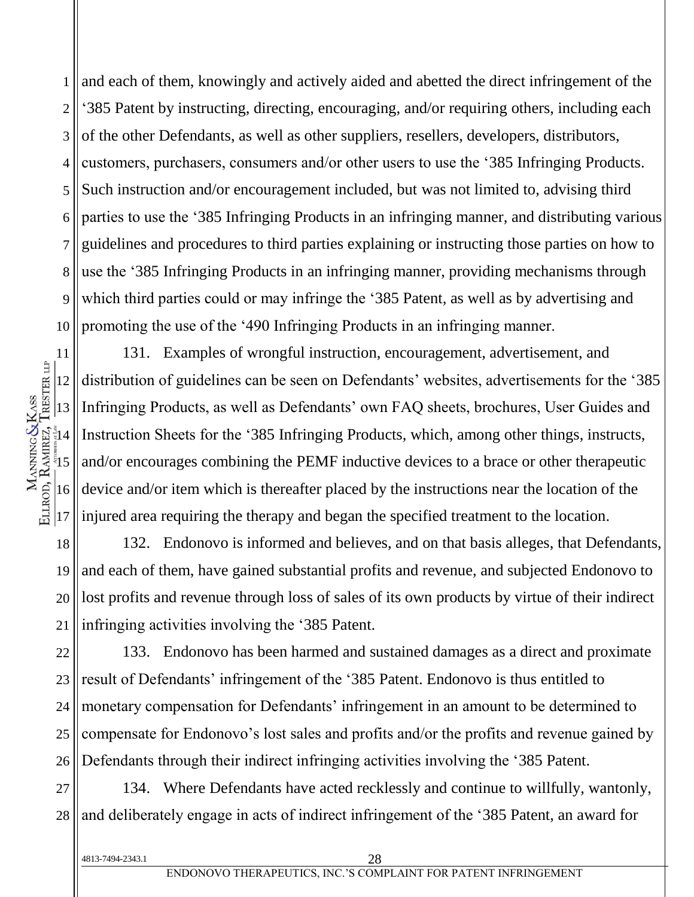1 2 3 4 5 6 7 8 9 10 and each of them, knowingly and actively aided and abetted the direct infringement of the '385 Patent by instructing, directing, encouraging, and/or requiring others, including each of the other Defendants, as well as other suppliers, resellers, developers, distributors, customers, purchasers, consumers and/or other users to use the '385 Infringing Products. Such instruction and/or encouragement included, but was not limited to, advising third parties to use the '385 Infringing Products in an infringing manner, and distributing various guidelines and procedures to third parties explaining or instructing those parties on how to use the '385 Infringing Products in an infringing manner, providing mechanisms through which third parties could or may infringe the '385 Patent, as well as by advertising and promoting the use of the '490 Infringing Products in an infringing manner.

11 12 13  $\frac{1}{3}$ 14  $\frac{5}{3}$ 16 17 131. Examples of wrongful instruction, encouragement, advertisement, and distribution of guidelines can be seen on Defendants' websites, advertisements for the '385 Infringing Products, as well as Defendants' own FAQ sheets, brochures, User Guides and Instruction Sheets for the '385 Infringing Products, which, among other things, instructs, and/or encourages combining the PEMF inductive devices to a brace or other therapeutic device and/or item which is thereafter placed by the instructions near the location of the injured area requiring the therapy and began the specified treatment to the location.

18 19 20 21 132. Endonovo is informed and believes, and on that basis alleges, that Defendants, and each of them, have gained substantial profits and revenue, and subjected Endonovo to lost profits and revenue through loss of sales of its own products by virtue of their indirect infringing activities involving the '385 Patent.

22 23 24 25 26 133. Endonovo has been harmed and sustained damages as a direct and proximate result of Defendants' infringement of the '385 Patent. Endonovo is thus entitled to monetary compensation for Defendants' infringement in an amount to be determined to compensate for Endonovo's lost sales and profits and/or the profits and revenue gained by Defendants through their indirect infringing activities involving the '385 Patent.

27 28 134. Where Defendants have acted recklessly and continue to willfully, wantonly, and deliberately engage in acts of indirect infringement of the '385 Patent, an award for

4813-7494-2343.1 28

MANNING&KASS<br>ELLROD, RAMREZ, TRESTER LIP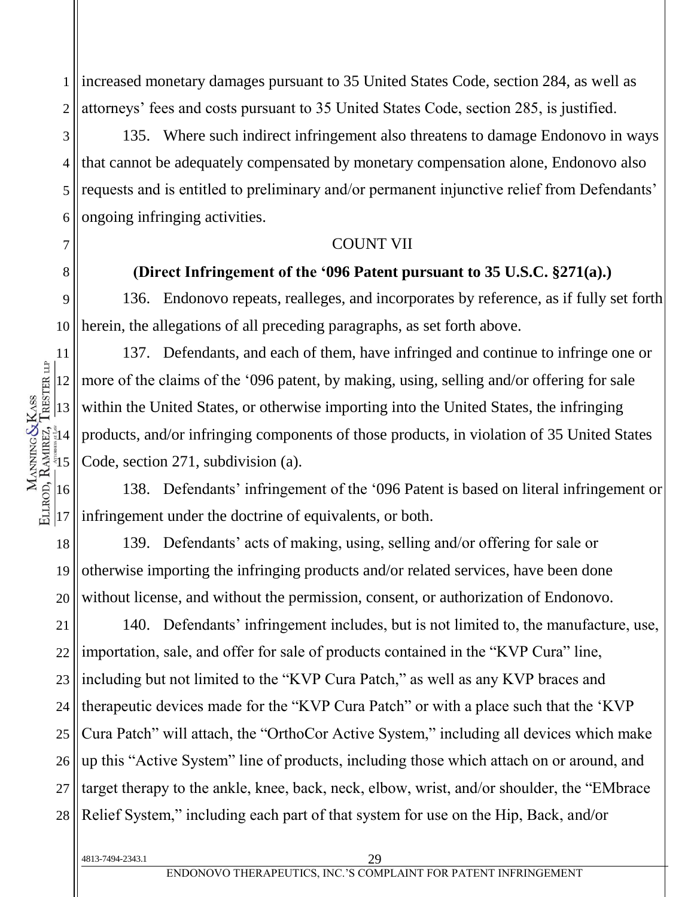1 2 increased monetary damages pursuant to 35 United States Code, section 284, as well as attorneys' fees and costs pursuant to 35 United States Code, section 285, is justified.

3 4 5 6 135. Where such indirect infringement also threatens to damage Endonovo in ways that cannot be adequately compensated by monetary compensation alone, Endonovo also requests and is entitled to preliminary and/or permanent injunctive relief from Defendants' ongoing infringing activities.

#### COUNT VII

### **(Direct Infringement of the '096 Patent pursuant to 35 U.S.C. §271(a).)**

9 10 136. Endonovo repeats, realleges, and incorporates by reference, as if fully set forth herein, the allegations of all preceding paragraphs, as set forth above.

137. Defendants, and each of them, have infringed and continue to infringe one or more of the claims of the '096 patent, by making, using, selling and/or offering for sale within the United States, or otherwise importing into the United States, the infringing products, and/or infringing components of those products, in violation of 35 United States Code, section 271, subdivision (a).

138. Defendants' infringement of the '096 Patent is based on literal infringement or infringement under the doctrine of equivalents, or both.

18 19 20 139. Defendants' acts of making, using, selling and/or offering for sale or otherwise importing the infringing products and/or related services, have been done without license, and without the permission, consent, or authorization of Endonovo.

21 22 23 24 25 26 27 28 140. Defendants' infringement includes, but is not limited to, the manufacture, use, importation, sale, and offer for sale of products contained in the "KVP Cura" line, including but not limited to the "KVP Cura Patch," as well as any KVP braces and therapeutic devices made for the "KVP Cura Patch" or with a place such that the 'KVP Cura Patch" will attach, the "OrthoCor Active System," including all devices which make up this "Active System" line of products, including those which attach on or around, and target therapy to the ankle, knee, back, neck, elbow, wrist, and/or shoulder, the "EMbrace Relief System," including each part of that system for use on the Hip, Back, and/or

7

8

11

4813-7494-2343.1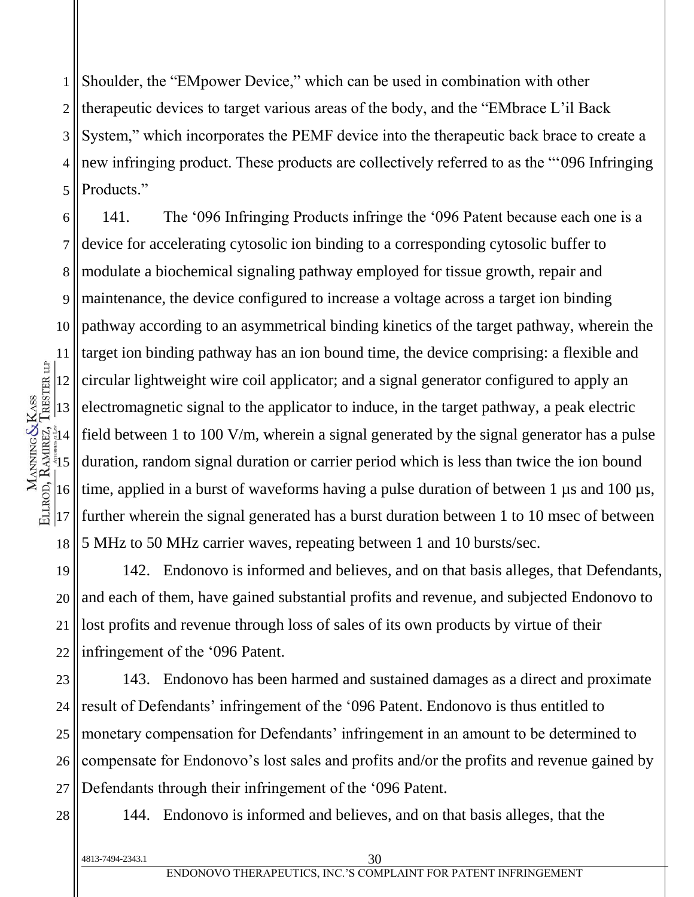1 2 3 4 5 Shoulder, the "EMpower Device," which can be used in combination with other therapeutic devices to target various areas of the body, and the "EMbrace L'il Back System," which incorporates the PEMF device into the therapeutic back brace to create a new infringing product. These products are collectively referred to as the "'096 Infringing Products."

6 7 8 9 10 11 12 13  $\frac{1}{3}$ 14  $\frac{5}{3}$ 16 17 18 141. The '096 Infringing Products infringe the '096 Patent because each one is a device for accelerating cytosolic ion binding to a corresponding cytosolic buffer to modulate a biochemical signaling pathway employed for tissue growth, repair and maintenance, the device configured to increase a voltage across a target ion binding pathway according to an asymmetrical binding kinetics of the target pathway, wherein the target ion binding pathway has an ion bound time, the device comprising: a flexible and circular lightweight wire coil applicator; and a signal generator configured to apply an electromagnetic signal to the applicator to induce, in the target pathway, a peak electric field between 1 to 100 V/m, wherein a signal generated by the signal generator has a pulse duration, random signal duration or carrier period which is less than twice the ion bound time, applied in a burst of waveforms having a pulse duration of between 1  $\mu$ s and 100  $\mu$ s, further wherein the signal generated has a burst duration between 1 to 10 msec of between 5 MHz to 50 MHz carrier waves, repeating between 1 and 10 bursts/sec.

19 20 21 22 142. Endonovo is informed and believes, and on that basis alleges, that Defendants, and each of them, have gained substantial profits and revenue, and subjected Endonovo to lost profits and revenue through loss of sales of its own products by virtue of their infringement of the '096 Patent.

23 24 25 26 27 143. Endonovo has been harmed and sustained damages as a direct and proximate result of Defendants' infringement of the '096 Patent. Endonovo is thus entitled to monetary compensation for Defendants' infringement in an amount to be determined to compensate for Endonovo's lost sales and profits and/or the profits and revenue gained by Defendants through their infringement of the '096 Patent.

28

MANNING&KASS<br>ELLROD, RAMREZ, TRESTER LIP

144. Endonovo is informed and believes, and on that basis alleges, that the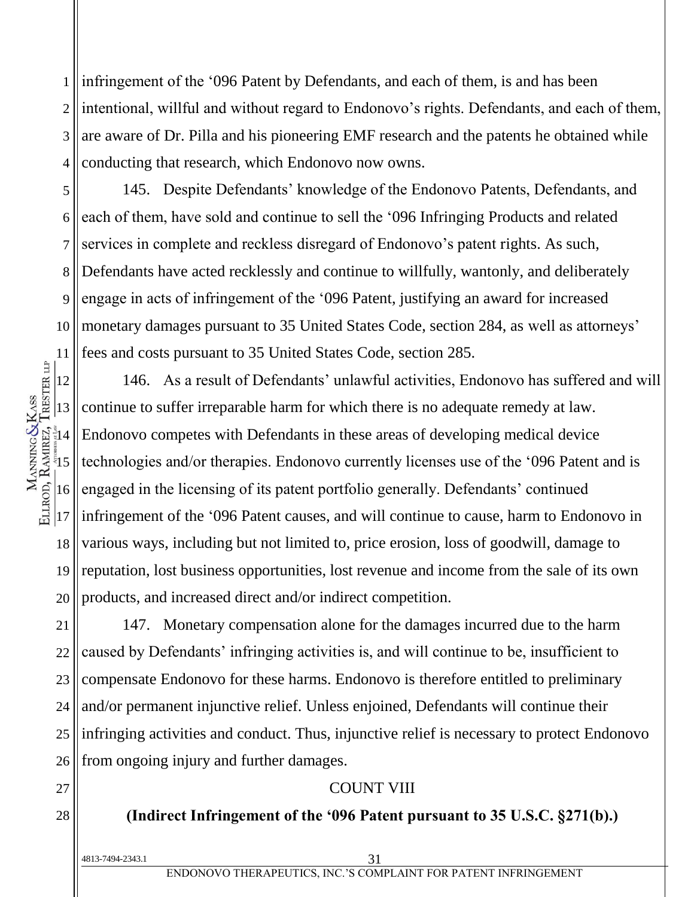1 2 3 4 infringement of the '096 Patent by Defendants, and each of them, is and has been intentional, willful and without regard to Endonovo's rights. Defendants, and each of them, are aware of Dr. Pilla and his pioneering EMF research and the patents he obtained while conducting that research, which Endonovo now owns.

5 6 7 8 9 10 11 145. Despite Defendants' knowledge of the Endonovo Patents, Defendants, and each of them, have sold and continue to sell the '096 Infringing Products and related services in complete and reckless disregard of Endonovo's patent rights. As such, Defendants have acted recklessly and continue to willfully, wantonly, and deliberately engage in acts of infringement of the '096 Patent, justifying an award for increased monetary damages pursuant to 35 United States Code, section 284, as well as attorneys' fees and costs pursuant to 35 United States Code, section 285.

12 13  $\frac{1}{3}14$  $\frac{5}{3}$ 16 17 18 19 20 146. As a result of Defendants' unlawful activities, Endonovo has suffered and will continue to suffer irreparable harm for which there is no adequate remedy at law. Endonovo competes with Defendants in these areas of developing medical device technologies and/or therapies. Endonovo currently licenses use of the '096 Patent and is engaged in the licensing of its patent portfolio generally. Defendants' continued infringement of the '096 Patent causes, and will continue to cause, harm to Endonovo in various ways, including but not limited to, price erosion, loss of goodwill, damage to reputation, lost business opportunities, lost revenue and income from the sale of its own products, and increased direct and/or indirect competition.

21 22 23 24 25 26 147. Monetary compensation alone for the damages incurred due to the harm caused by Defendants' infringing activities is, and will continue to be, insufficient to compensate Endonovo for these harms. Endonovo is therefore entitled to preliminary and/or permanent injunctive relief. Unless enjoined, Defendants will continue their infringing activities and conduct. Thus, injunctive relief is necessary to protect Endonovo from ongoing injury and further damages.

#### COUNT VIII

#### **(Indirect Infringement of the '096 Patent pursuant to 35 U.S.C. §271(b).)**

| ! 4813-7494-2343.1 |                                                                 |
|--------------------|-----------------------------------------------------------------|
|                    | ENDONOVO THERAPEUTICS. INC.'S COMPLAINT FOR PATENT INFRINGEMENT |

27

MANNING&KASS<br>ELLROD, RAMREZ, TRESTER LIP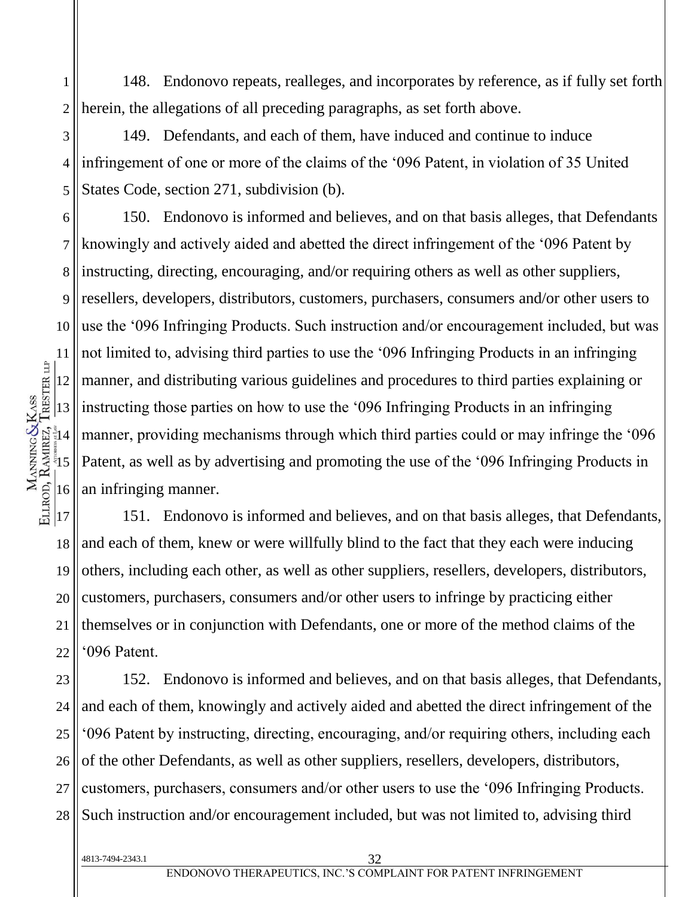1 2 148. Endonovo repeats, realleges, and incorporates by reference, as if fully set forth herein, the allegations of all preceding paragraphs, as set forth above.

3 4 5 149. Defendants, and each of them, have induced and continue to induce infringement of one or more of the claims of the '096 Patent, in violation of 35 United States Code, section 271, subdivision (b).

6 150. Endonovo is informed and believes, and on that basis alleges, that Defendants knowingly and actively aided and abetted the direct infringement of the '096 Patent by instructing, directing, encouraging, and/or requiring others as well as other suppliers, resellers, developers, distributors, customers, purchasers, consumers and/or other users to use the '096 Infringing Products. Such instruction and/or encouragement included, but was not limited to, advising third parties to use the '096 Infringing Products in an infringing manner, and distributing various guidelines and procedures to third parties explaining or instructing those parties on how to use the '096 Infringing Products in an infringing manner, providing mechanisms through which third parties could or may infringe the '096 Patent, as well as by advertising and promoting the use of the '096 Infringing Products in an infringing manner.

18 19 20 21 22 151. Endonovo is informed and believes, and on that basis alleges, that Defendants, and each of them, knew or were willfully blind to the fact that they each were inducing others, including each other, as well as other suppliers, resellers, developers, distributors, customers, purchasers, consumers and/or other users to infringe by practicing either themselves or in conjunction with Defendants, one or more of the method claims of the '096 Patent.

23 24 25 26 27 28 152. Endonovo is informed and believes, and on that basis alleges, that Defendants, and each of them, knowingly and actively aided and abetted the direct infringement of the '096 Patent by instructing, directing, encouraging, and/or requiring others, including each of the other Defendants, as well as other suppliers, resellers, developers, distributors, customers, purchasers, consumers and/or other users to use the '096 Infringing Products. Such instruction and/or encouragement included, but was not limited to, advising third

7

8

9

10

4813-7494-2343.1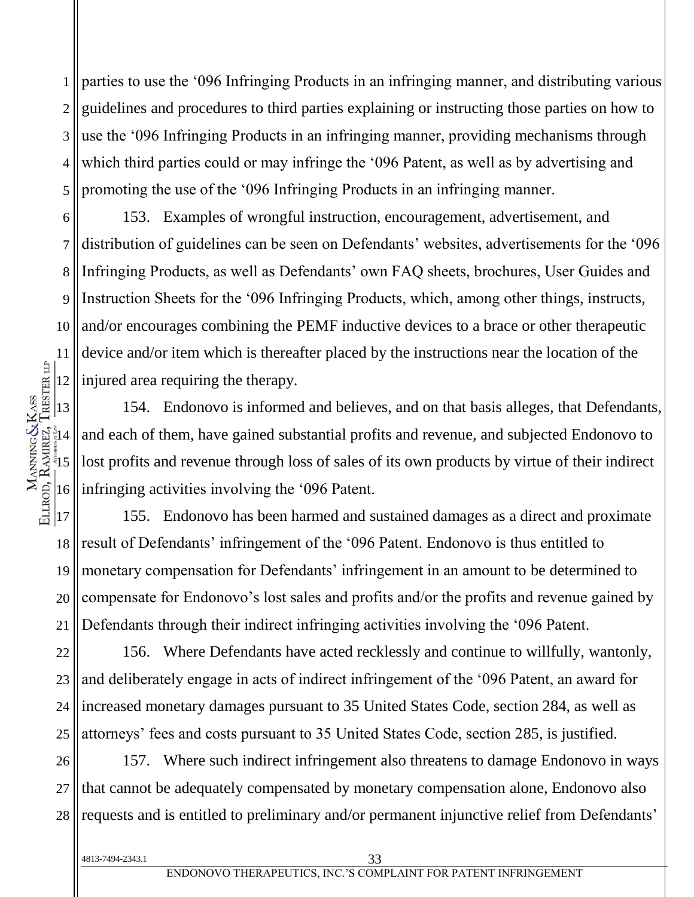1 2 3 4 5 parties to use the '096 Infringing Products in an infringing manner, and distributing various guidelines and procedures to third parties explaining or instructing those parties on how to use the '096 Infringing Products in an infringing manner, providing mechanisms through which third parties could or may infringe the '096 Patent, as well as by advertising and promoting the use of the '096 Infringing Products in an infringing manner.

6 7 8 9 10 11 12 153. Examples of wrongful instruction, encouragement, advertisement, and distribution of guidelines can be seen on Defendants' websites, advertisements for the '096 Infringing Products, as well as Defendants' own FAQ sheets, brochures, User Guides and Instruction Sheets for the '096 Infringing Products, which, among other things, instructs, and/or encourages combining the PEMF inductive devices to a brace or other therapeutic device and/or item which is thereafter placed by the instructions near the location of the injured area requiring the therapy.

154. Endonovo is informed and believes, and on that basis alleges, that Defendants, and each of them, have gained substantial profits and revenue, and subjected Endonovo to lost profits and revenue through loss of sales of its own products by virtue of their indirect infringing activities involving the '096 Patent.

 $|17$ 18 19 20 21 155. Endonovo has been harmed and sustained damages as a direct and proximate result of Defendants' infringement of the '096 Patent. Endonovo is thus entitled to monetary compensation for Defendants' infringement in an amount to be determined to compensate for Endonovo's lost sales and profits and/or the profits and revenue gained by Defendants through their indirect infringing activities involving the '096 Patent.

22 23 24 25 156. Where Defendants have acted recklessly and continue to willfully, wantonly, and deliberately engage in acts of indirect infringement of the '096 Patent, an award for increased monetary damages pursuant to 35 United States Code, section 284, as well as attorneys' fees and costs pursuant to 35 United States Code, section 285, is justified.

26 27 28 157. Where such indirect infringement also threatens to damage Endonovo in ways that cannot be adequately compensated by monetary compensation alone, Endonovo also requests and is entitled to preliminary and/or permanent injunctive relief from Defendants'

4813-7494-2343.1

13

 $\frac{1}{3}14$ 

MANNING&KASS<br>ELLROD, RAMREZ, TRESTER LIP

 $\frac{5}{3}$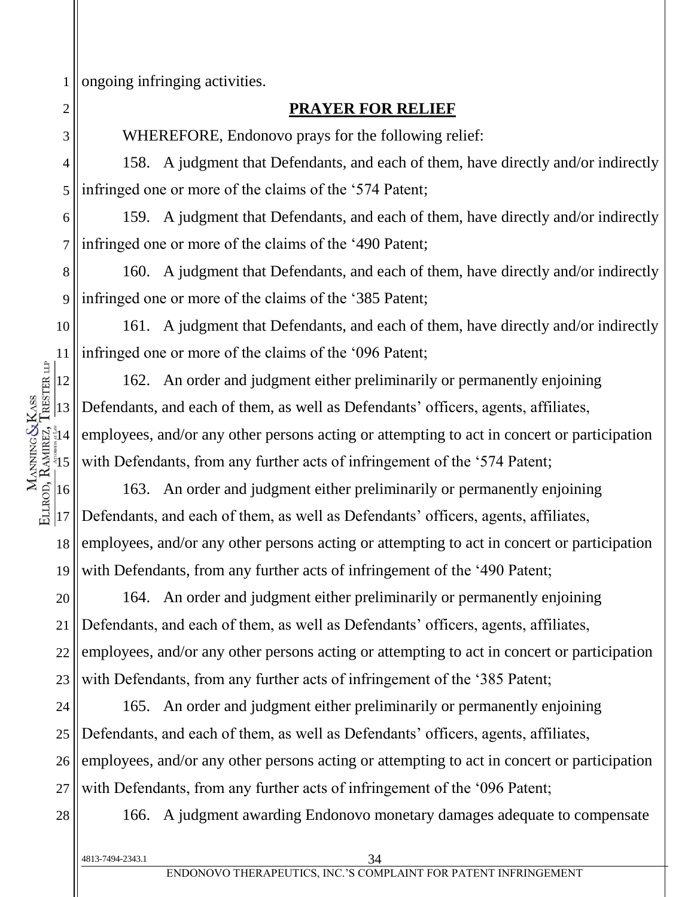1 ongoing infringing activities.

### **PRAYER FOR RELIEF**

WHEREFORE, Endonovo prays for the following relief:

4 5 158. A judgment that Defendants, and each of them, have directly and/or indirectly infringed one or more of the claims of the '574 Patent;

6 7 159. A judgment that Defendants, and each of them, have directly and/or indirectly infringed one or more of the claims of the '490 Patent;

8 9 160. A judgment that Defendants, and each of them, have directly and/or indirectly infringed one or more of the claims of the '385 Patent;

10 161. A judgment that Defendants, and each of them, have directly and/or indirectly infringed one or more of the claims of the '096 Patent;

162. An order and judgment either preliminarily or permanently enjoining Defendants, and each of them, as well as Defendants' officers, agents, affiliates, employees, and/or any other persons acting or attempting to act in concert or participation with Defendants, from any further acts of infringement of the '574 Patent;

18 19 163. An order and judgment either preliminarily or permanently enjoining Defendants, and each of them, as well as Defendants' officers, agents, affiliates, employees, and/or any other persons acting or attempting to act in concert or participation with Defendants, from any further acts of infringement of the '490 Patent;

20 21 22 23 164. An order and judgment either preliminarily or permanently enjoining Defendants, and each of them, as well as Defendants' officers, agents, affiliates, employees, and/or any other persons acting or attempting to act in concert or participation with Defendants, from any further acts of infringement of the '385 Patent;

24 25 26 27 165. An order and judgment either preliminarily or permanently enjoining Defendants, and each of them, as well as Defendants' officers, agents, affiliates, employees, and/or any other persons acting or attempting to act in concert or participation with Defendants, from any further acts of infringement of the '096 Patent;

28

4813-7494-2343.1

166. A judgment awarding Endonovo monetary damages adequate to compensate

11

2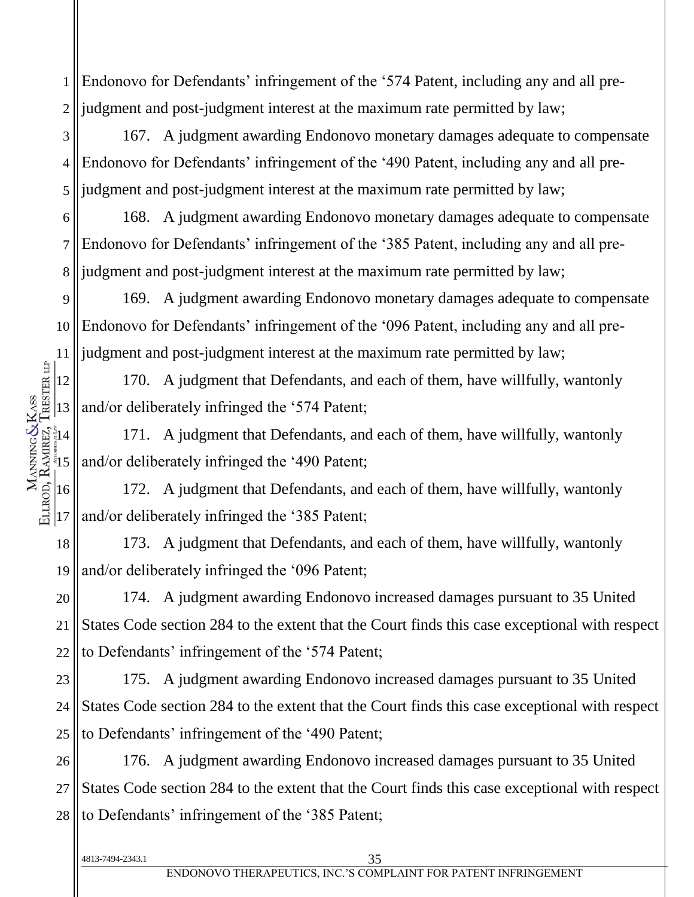1 2 Endonovo for Defendants' infringement of the '574 Patent, including any and all prejudgment and post-judgment interest at the maximum rate permitted by law;

3 4 5 167. A judgment awarding Endonovo monetary damages adequate to compensate Endonovo for Defendants' infringement of the '490 Patent, including any and all prejudgment and post-judgment interest at the maximum rate permitted by law;

6 7 8 168. A judgment awarding Endonovo monetary damages adequate to compensate Endonovo for Defendants' infringement of the '385 Patent, including any and all prejudgment and post-judgment interest at the maximum rate permitted by law;

9 10 11 169. A judgment awarding Endonovo monetary damages adequate to compensate Endonovo for Defendants' infringement of the '096 Patent, including any and all prejudgment and post-judgment interest at the maximum rate permitted by law;

170. A judgment that Defendants, and each of them, have willfully, wantonly and/or deliberately infringed the '574 Patent;

171. A judgment that Defendants, and each of them, have willfully, wantonly and/or deliberately infringed the '490 Patent;

172. A judgment that Defendants, and each of them, have willfully, wantonly and/or deliberately infringed the '385 Patent;

18 19 173. A judgment that Defendants, and each of them, have willfully, wantonly and/or deliberately infringed the '096 Patent;

20 21 22 174. A judgment awarding Endonovo increased damages pursuant to 35 United States Code section 284 to the extent that the Court finds this case exceptional with respect to Defendants' infringement of the '574 Patent;

23 24 25 175. A judgment awarding Endonovo increased damages pursuant to 35 United States Code section 284 to the extent that the Court finds this case exceptional with respect to Defendants' infringement of the '490 Patent;

26 27 28 176. A judgment awarding Endonovo increased damages pursuant to 35 United States Code section 284 to the extent that the Court finds this case exceptional with respect to Defendants' infringement of the '385 Patent;